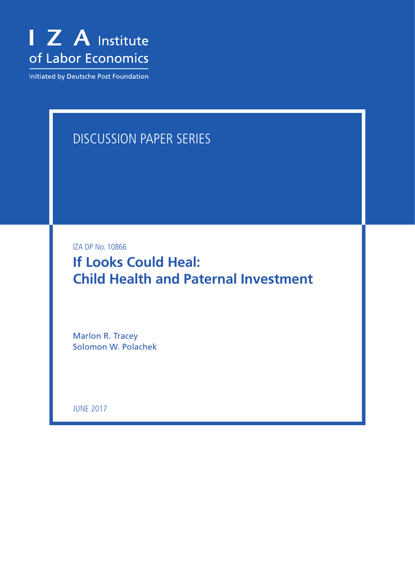

Initiated by Deutsche Post Foundation

# Discussion Paper Series

IZA DP No. 10866

**If Looks Could Heal: Child Health and Paternal Investment**

Marlon R. Tracey Solomon W. Polachek

june 2017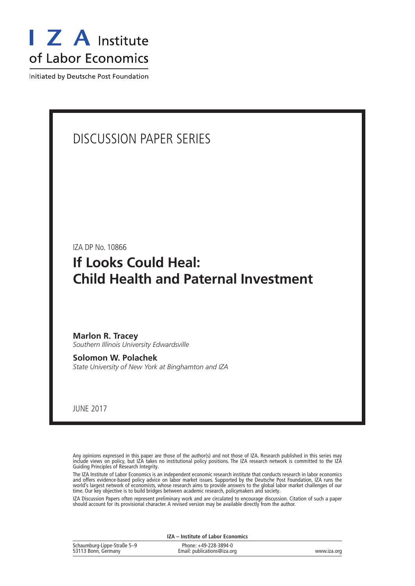

Initiated by Deutsche Post Foundation

## Discussion Paper Series

IZA DP No. 10866

## **If Looks Could Heal: Child Health and Paternal Investment**

**Marlon R. Tracey** *Southern Illinois University Edwardsville*

**Solomon W. Polachek** *State University of New York at Binghamton and IZA*

june 2017

Any opinions expressed in this paper are those of the author(s) and not those of IZA. Research published in this series may include views on policy, but IZA takes no institutional policy positions. The IZA research network is committed to the IZA Guiding Principles of Research Integrity.

The IZA Institute of Labor Economics is an independent economic research institute that conducts research in labor economics and offers evidence-based policy advice on labor market issues. Supported by the Deutsche Post Foundation, IZA runs the world's largest network of economists, whose research aims to provide answers to the global labor market challenges of our time. Our key objective is to build bridges between academic research, policymakers and society.

IZA Discussion Papers often represent preliminary work and are circulated to encourage discussion. Citation of such a paper should account for its provisional character. A revised version may be available directly from the author.

| <b>IZA</b> – Institute of Labor Economics          |                                                      |             |  |
|----------------------------------------------------|------------------------------------------------------|-------------|--|
| Schaumburg-Lippe-Straße 5-9<br>53113 Bonn, Germany | Phone: +49-228-3894-0<br>Email: publications@iza.org | www.iza.org |  |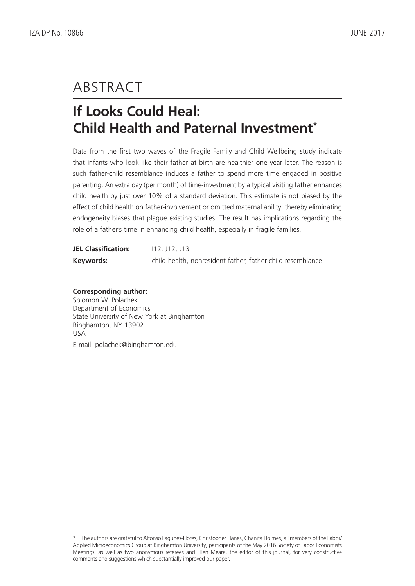## **ABSTRACT**

# **If Looks Could Heal: Child Health and Paternal Investment\***

Data from the first two waves of the Fragile Family and Child Wellbeing study indicate that infants who look like their father at birth are healthier one year later. The reason is such father-child resemblance induces a father to spend more time engaged in positive parenting. An extra day (per month) of time-investment by a typical visiting father enhances child health by just over 10% of a standard deviation. This estimate is not biased by the effect of child health on father-involvement or omitted maternal ability, thereby eliminating endogeneity biases that plague existing studies. The result has implications regarding the role of a father's time in enhancing child health, especially in fragile families.

| <b>JEL Classification:</b> | $112.$ J12. J13                                            |
|----------------------------|------------------------------------------------------------|
| Keywords:                  | child health, nonresident father, father-child resemblance |

### **Corresponding author:**

Solomon W. Polachek Department of Economics State University of New York at Binghamton Binghamton, NY 13902 USA E-mail: polachek@binghamton.edu

<sup>\*</sup> The authors are grateful to Alfonso Lagunes-Flores, Christopher Hanes, Chanita Holmes, all members of the Labor/ Applied Microeconomics Group at Binghamton University, participants of the May 2016 Society of Labor Economists Meetings, as well as two anonymous referees and Ellen Meara, the editor of this journal, for very constructive comments and suggestions which substantially improved our paper.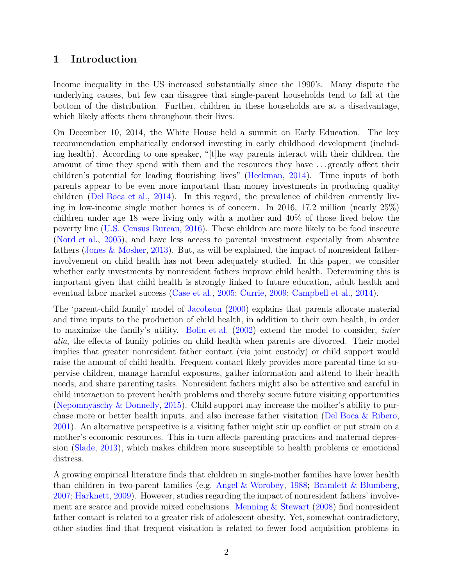## **1 Introduction**

Income inequality in the US increased substantially since the 1990's. Many dispute the underlying causes, but few can disagree that single-parent households tend to fall at the bottom of the distribution. Further, children in these households are at a disadvantage, which likely affects them throughout their lives.

On December 10, 2014, the White House held a summit on Early Education. The key recommendation emphatically endorsed investing in early childhood development (including health). According to one speaker, "[t]he way parents interact with their children, the amount of time they spend with them and the resources they have . . . greatly affect their children's potential for leading flourishing lives" [\(Heckman,](#page-33-0) [2014\)](#page-33-0). Time inputs of both parents appear to be even more important than money investments in producing quality children [\(Del Boca et al.,](#page-33-1) [2014\)](#page-33-1). In this regard, the prevalence of children currently living in low-income single mother homes is of concern. In 2016, 17.2 million (nearly 25%) children under age 18 were living only with a mother and 40% of those lived below the poverty line [\(U.S. Census Bureau,](#page-35-0) [2016\)](#page-35-0). These children are more likely to be food insecure [\(Nord et al.,](#page-34-0) [2005\)](#page-34-0), and have less access to parental investment especially from absentee fathers [\(Jones & Mosher,](#page-33-2) [2013\)](#page-33-2). But, as will be explained, the impact of nonresident fatherinvolvement on child health has not been adequately studied. In this paper, we consider whether early investments by nonresident fathers improve child health. Determining this is important given that child health is strongly linked to future education, adult health and eventual labor market success [\(Case et al.,](#page-32-0) [2005;](#page-32-0) [Currie,](#page-32-1) [2009;](#page-32-1) [Campbell et al.,](#page-32-2) [2014\)](#page-32-2).

The 'parent-child family' model of [Jacobson](#page-33-3) [\(2000\)](#page-33-3) explains that parents allocate material and time inputs to the production of child health, in addition to their own health, in order to maximize the family's utility. [Bolin et al.](#page-32-3) [\(2002\)](#page-32-3) extend the model to consider, *inter alia*, the effects of family policies on child health when parents are divorced. Their model implies that greater nonresident father contact (via joint custody) or child support would raise the amount of child health. Frequent contact likely provides more parental time to supervise children, manage harmful exposures, gather information and attend to their health needs, and share parenting tasks. Nonresident fathers might also be attentive and careful in child interaction to prevent health problems and thereby secure future visiting opportunities [\(Nepomnyaschy & Donnelly,](#page-34-1) [2015\)](#page-34-1). Child support may increase the mother's ability to purchase more or better health inputs, and also increase father visitation [\(Del Boca & Ribero,](#page-33-4) [2001\)](#page-33-4). An alternative perspective is a visiting father might stir up conflict or put strain on a mother's economic resources. This in turn affects parenting practices and maternal depression [\(Slade,](#page-35-1) [2013\)](#page-35-1), which makes children more susceptible to health problems or emotional distress.

A growing empirical literature finds that children in single-mother families have lower health than children in two-parent families (e.g. [Angel & Worobey,](#page-31-0) [1988;](#page-31-0) [Bramlett & Blumberg,](#page-32-4) [2007;](#page-32-4) [Harknett,](#page-33-5) [2009\)](#page-33-5). However, studies regarding the impact of nonresident fathers' involvement are scarce and provide mixed conclusions. [Menning & Stewart](#page-34-2) [\(2008\)](#page-34-2) find nonresident father contact is related to a greater risk of adolescent obesity. Yet, somewhat contradictory, other studies find that frequent visitation is related to fewer food acquisition problems in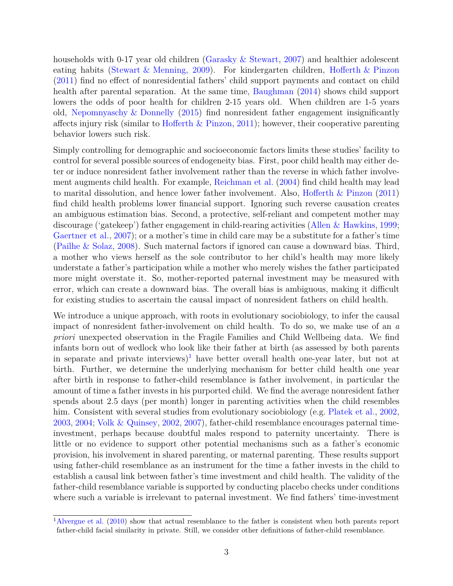households with 0-17 year old children [\(Garasky & Stewart,](#page-33-6) [2007\)](#page-33-6) and healthier adolescent eating habits [\(Stewart & Menning,](#page-35-2) [2009\)](#page-35-2). For kindergarten children, [Hofferth & Pinzon](#page-33-7) [\(2011\)](#page-33-7) find no effect of nonresidential fathers' child support payments and contact on child health after parental separation. At the same time, [Baughman](#page-32-5) [\(2014\)](#page-32-5) shows child support lowers the odds of poor health for children 2-15 years old. When children are 1-5 years old, [Nepomnyaschy & Donnelly](#page-34-1) [\(2015\)](#page-34-1) find nonresident father engagement insignificantly affects injury risk (similar to [Hofferth & Pinzon,](#page-33-7) [2011\)](#page-33-7); however, their cooperative parenting behavior lowers such risk.

Simply controlling for demographic and socioeconomic factors limits these studies' facility to control for several possible sources of endogeneity bias. First, poor child health may either deter or induce nonresident father involvement rather than the reverse in which father involvement augments child health. For example, [Reichman et al.](#page-35-3) [\(2004\)](#page-35-3) find child health may lead to marital dissolution, and hence lower father involvement. Also, Hofferth  $\&$  Pinzon [\(2011\)](#page-33-7) find child health problems lower financial support. Ignoring such reverse causation creates an ambiguous estimation bias. Second, a protective, self-reliant and competent mother may discourage ('gatekeep') father engagement in child-rearing activities [\(Allen & Hawkins,](#page-31-1) [1999;](#page-31-1) [Gaertner et al.,](#page-33-8) [2007\)](#page-33-8); or a mother's time in child care may be a substitute for a father's time [\(Pailhe & Solaz,](#page-34-3) [2008\)](#page-34-3). Such maternal factors if ignored can cause a downward bias. Third, a mother who views herself as the sole contributor to her child's health may more likely understate a father's participation while a mother who merely wishes the father participated more might overstate it. So, mother-reported paternal investment may be measured with error, which can create a downward bias. The overall bias is ambiguous, making it difficult for existing studies to ascertain the causal impact of nonresident fathers on child health.

We introduce a unique approach, with roots in evolutionary sociobiology, to infer the causal impact of nonresident father-involvement on child health. To do so, we make use of an *a priori* unexpected observation in the Fragile Families and Child Wellbeing data. We find infants born out of wedlock who look like their father at birth (as assessed by both parents in separate and private interviews)<sup>[1](#page-4-0)</sup> have better overall health one-year later, but not at birth. Further, we determine the underlying mechanism for better child health one year after birth in response to father-child resemblance is father involvement, in particular the amount of time a father invests in his purported child. We find the average nonresident father spends about 2.5 days (per month) longer in parenting activities when the child resembles him. Consistent with several studies from evolutionary sociobiology (e.g. [Platek et al.,](#page-35-4) [2002,](#page-35-4) [2003,](#page-35-5) [2004;](#page-35-6) [Volk & Quinsey,](#page-35-7) [2002,](#page-35-7) [2007\)](#page-35-8), father-child resemblance encourages paternal timeinvestment, perhaps because doubtful males respond to paternity uncertainty. There is little or no evidence to support other potential mechanisms such as a father's economic provision, his involvement in shared parenting, or maternal parenting. These results support using father-child resemblance as an instrument for the time a father invests in the child to establish a causal link between father's time investment and child health. The validity of the father-child resemblance variable is supported by conducting placebo checks under conditions where such a variable is irrelevant to paternal investment. We find fathers' time-investment

<span id="page-4-0"></span><sup>&</sup>lt;sup>1</sup>[Alvergne et al.](#page-31-2) [\(2010\)](#page-31-2) show that actual resemblance to the father is consistent when both parents report father-child facial similarity in private. Still, we consider other definitions of father-child resemblance.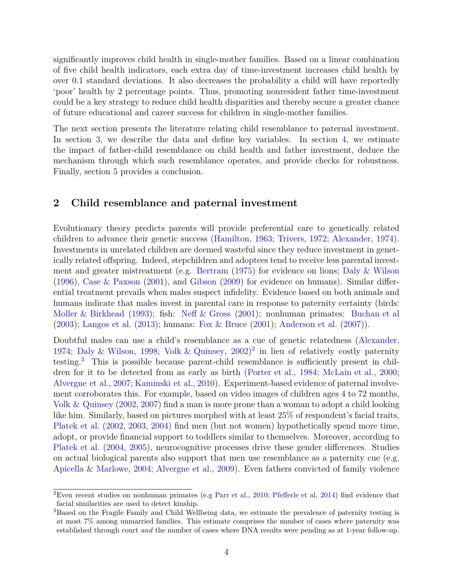significantly improves child health in single-mother families. Based on a linear combination of five child health indicators, each extra day of time-investment increases child health by over 0.1 standard deviations. It also decreases the probability a child will have reportedly 'poor' health by 2 percentage points. Thus, promoting nonresident father time-investment could be a key strategy to reduce child health disparities and thereby secure a greater chance of future educational and career success for children in single-mother families.

The next section presents the literature relating child resemblance to paternal investment. In section [3,](#page-6-0) we describe the data and define key variables. In section [4,](#page-10-0) we estimate the impact of father-child resemblance on child health and father investment, deduce the mechanism through which such resemblance operates, and provide checks for robustness. Finally, section [5](#page-19-0) provides a conclusion.

## <span id="page-5-2"></span>**2 Child resemblance and paternal investment**

Evolutionary theory predicts parents will provide preferential care to genetically related children to advance their genetic success [\(Hamilton,](#page-33-9) [1963;](#page-33-9) [Trivers,](#page-35-9) [1972;](#page-35-9) [Alexander,](#page-31-3) [1974\)](#page-31-3). Investments in unrelated children are deemed wasteful since they reduce investment in genetically related offspring. Indeed, stepchildren and adoptees tend to receive less parental investment and greater mistreatment (e.g. [Bertram](#page-32-6) [\(1975\)](#page-32-6) for evidence on lions; [Daly & Wilson](#page-32-7) [\(1996\)](#page-32-7), [Case & Paxson](#page-32-8) [\(2001\)](#page-32-8), and [Gibson](#page-33-10) [\(2009\)](#page-33-10) for evidence on humans). Similar differential treatment prevails when males suspect infidelity. Evidence based on both animals and humans indicate that males invest in parental care in response to paternity certainty (birds: [Moller & Birkhead](#page-34-4) [\(1993\)](#page-34-4); fish: [Neff & Gross](#page-34-5) [\(2001\)](#page-34-5); nonhuman primates: [Buchan et al](#page-32-9) [\(2003\)](#page-32-9); [Langos et al.](#page-34-6) [\(2013\)](#page-34-6); humans: [Fox & Bruce](#page-33-11) [\(2001\)](#page-33-11); [Anderson et al.](#page-31-4) [\(2007\)](#page-31-4)).

Doubtful males can use a child's resemblance as a cue of genetic relatedness [\(Alexander,](#page-31-3) [1974;](#page-31-3) [Daly & Wilson,](#page-32-10) [1998;](#page-32-10) [Volk & Quinsey,](#page-35-7) [2002\)](#page-35-7) [2](#page-5-0) in lieu of relatively costly paternity testing.[3](#page-5-1) This is possible because parent-child resemblance is sufficiently present in children for it to be detected from as early as birth [\(Porter et al.,](#page-35-10) [1984;](#page-35-10) [McLain et al.,](#page-34-7) [2000;](#page-34-7) [Alvergne et al.,](#page-31-5) [2007;](#page-31-5) [Kaminski et al.,](#page-34-8) [2010\)](#page-34-8). Experiment-based evidence of paternal involvement corroborates this. For example, based on video images of children ages 4 to 72 months, [Volk & Quinsey](#page-35-7) [\(2002,](#page-35-7) [2007\)](#page-35-8) find a man is more prone than a woman to adopt a child looking like him. Similarly, based on pictures morphed with at least 25% of respondent's facial traits, [Platek et al.](#page-35-4) [\(2002,](#page-35-4) [2003,](#page-35-5) [2004\)](#page-35-6) find men (but not women) hypothetically spend more time, adopt, or provide financial support to toddlers similar to themselves. Moreover, according to [Platek et al.](#page-35-6) [\(2004,](#page-35-6) [2005\)](#page-35-11), neurocognitive processes drive these gender differences. Studies on actual biological parents also support that men use resemblance as a paternity cue (e.g. [Apicella & Marlowe,](#page-31-6) [2004;](#page-31-6) [Alvergne et al.,](#page-31-7) [2009\)](#page-31-7). Even fathers convicted of family violence

<span id="page-5-0"></span><sup>2</sup>Even recent studies on nonhuman primates (e.g [Parr et al.,](#page-34-9) [2010;](#page-34-9) [Pfefferle et al,](#page-34-10) [2014\)](#page-34-10) find evidence that facial similarities are used to detect kinship.

<span id="page-5-1"></span><sup>&</sup>lt;sup>3</sup>Based on the Fragile Family and Child Wellbeing data, we estimate the prevalence of paternity testing is at most 7% among unmarried families. This estimate comprises the number of cases where paternity was established through court *and* the number of cases where DNA results were pending as at 1-year follow-up.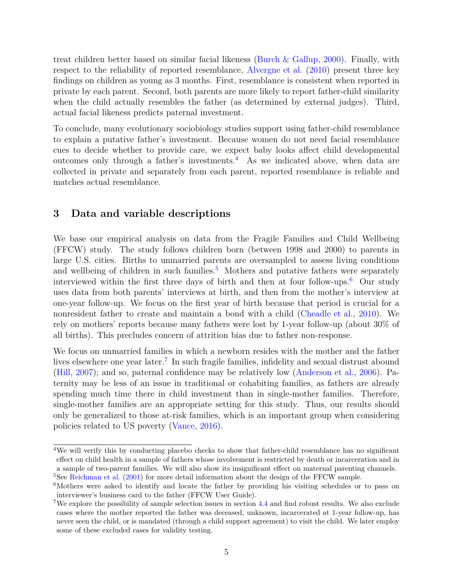treat children better based on similar facial likeness [\(Burch & Gallup,](#page-32-11) [2000\)](#page-32-11). Finally, with respect to the reliability of reported resemblance, [Alvergne et al.](#page-31-2) [\(2010\)](#page-31-2) present three key findings on children as young as 3 months. First, resemblance is consistent when reported in private by each parent. Second, both parents are more likely to report father-child similarity when the child actually resembles the father (as determined by external judges). Third, actual facial likeness predicts paternal investment.

To conclude, many evolutionary sociobiology studies support using father-child resemblance to explain a putative father's investment. Because women do not need facial resemblance cues to decide whether to provide care, we expect baby looks affect child developmental outcomes only through a father's investments.[4](#page-6-1) As we indicated above, when data are collected in private and separately from each parent, reported resemblance is reliable and matches actual resemblance.

## <span id="page-6-0"></span>**3 Data and variable descriptions**

We base our empirical analysis on data from the Fragile Families and Child Wellbeing (FFCW) study. The study follows children born (between 1998 and 2000) to parents in large U.S. cities. Births to unmarried parents are oversampled to assess living conditions and wellbeing of children in such families.<sup>[5](#page-6-2)</sup> Mothers and putative fathers were separately interviewed within the first three days of birth and then at four follow-ups.<sup>[6](#page-6-3)</sup> Our study uses data from both parents' interviews at birth, and then from the mother's interview at one-year follow-up. We focus on the first year of birth because that period is crucial for a nonresident father to create and maintain a bond with a child [\(Cheadle et al.,](#page-32-12) [2010\)](#page-32-12). We rely on mothers' reports because many fathers were lost by 1-year follow-up (about 30% of all births). This precludes concern of attrition bias due to father non-response.

We focus on unmarried families in which a newborn resides with the mother and the father lives elsewhere one year later.<sup>[7](#page-6-4)</sup> In such fragile families, infidelity and sexual distrust abound [\(Hill,](#page-33-12) [2007\)](#page-33-12); and so, paternal confidence may be relatively low [\(Anderson et al.,](#page-31-8) [2006\)](#page-31-8). Paternity may be less of an issue in traditional or cohabiting families, as fathers are already spending much time there in child investment than in single-mother families. Therefore, single-mother families are an appropriate setting for this study. Thus, our results should only be generalized to those at-risk families, which is an important group when considering policies related to US poverty [\(Vance,](#page-35-12) [2016\)](#page-35-12).

<span id="page-6-1"></span><sup>&</sup>lt;sup>4</sup>We will verify this by conducting placebo checks to show that father-child resemblance has no significant effect on child health in a sample of fathers whose involvement is restricted by death or incarceration and in a sample of two-parent families. We will also show its insignificant effect on maternal parenting channels. <sup>5</sup>See [Reichman et al.](#page-35-13) [\(2001\)](#page-35-13) for more detail information about the design of the FFCW sample.

<span id="page-6-3"></span><span id="page-6-2"></span><sup>&</sup>lt;sup>6</sup>Mothers were asked to identify and locate the father by providing his visiting schedules or to pass on interviewer's business card to the father (FFCW User Guide).

<span id="page-6-4"></span><sup>7</sup>We explore the possibility of sample selection issues in section [4.4](#page-16-0) and find robust results. We also exclude cases where the mother reported the father was deceased, unknown, incarcerated at 1-year follow-up, has never seen the child, or is mandated (through a child support agreement) to visit the child. We later employ some of these excluded cases for validity testing.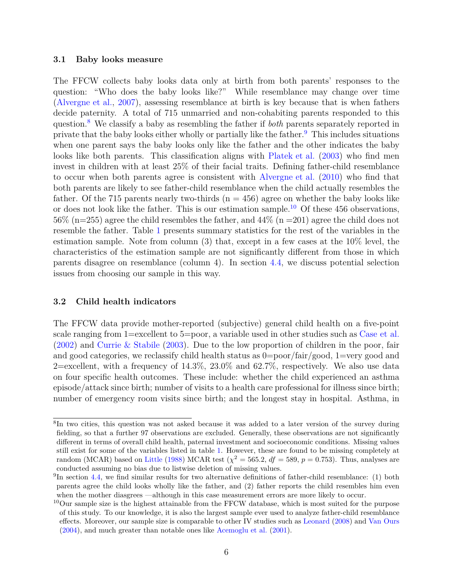#### **3.1 Baby looks measure**

The FFCW collects baby looks data only at birth from both parents' responses to the question: "Who does the baby looks like?" While resemblance may change over time [\(Alvergne et al.,](#page-31-5) [2007\)](#page-31-5), assessing resemblance at birth is key because that is when fathers decide paternity. A total of 715 unmarried and non-cohabiting parents responded to this question.[8](#page-7-0) We classify a baby as resembling the father if *both* parents separately reported in private that the baby looks either wholly or partially like the father.<sup>[9](#page-7-1)</sup> This includes situations when one parent says the baby looks only like the father and the other indicates the baby looks like both parents. This classification aligns with [Platek et al.](#page-35-5) [\(2003\)](#page-35-5) who find men invest in children with at least 25% of their facial traits. Defining father-child resemblance to occur when both parents agree is consistent with [Alvergne et al.](#page-31-2) [\(2010\)](#page-31-2) who find that both parents are likely to see father-child resemblance when the child actually resembles the father. Of the 715 parents nearly two-thirds  $(n = 456)$  agree on whether the baby looks like or does not look like the father. This is our estimation sample.<sup>[10](#page-7-2)</sup> Of these 456 observations,  $56\%$  (n=255) agree the child resembles the father, and  $44\%$  (n =201) agree the child does not resemble the father. Table [1](#page-20-0) presents summary statistics for the rest of the variables in the estimation sample. Note from column (3) that, except in a few cases at the 10% level, the characteristics of the estimation sample are not significantly different from those in which parents disagree on resemblance (column 4). In section [4.4,](#page-16-0) we discuss potential selection issues from choosing our sample in this way.

#### **3.2 Child health indicators**

The FFCW data provide mother-reported (subjective) general child health on a five-point scale ranging from 1=excellent to 5=poor, a variable used in other studies such as [Case et al.](#page-32-13) [\(2002\)](#page-32-13) and [Currie & Stabile](#page-32-14) [\(2003\)](#page-32-14). Due to the low proportion of children in the poor, fair and good categories, we reclassify child health status as  $0=$ poor/fair/good, 1=very good and 2=excellent, with a frequency of  $14.3\%$ ,  $23.0\%$  and  $62.7\%$ , respectively. We also use data on four specific health outcomes. These include: whether the child experienced an asthma episode/attack since birth; number of visits to a health care professional for illness since birth; number of emergency room visits since birth; and the longest stay in hospital. Asthma, in

<span id="page-7-0"></span><sup>8</sup> In two cities, this question was not asked because it was added to a later version of the survey during fielding, so that a further 97 observations are excluded. Generally, these observations are not significantly different in terms of overall child health, paternal investment and socioeconomic conditions. Missing values still exist for some of the variables listed in table [1.](#page-20-0) However, these are found to be missing completely at random (MCAR) based on [Little](#page-34-11) [\(1988\)](#page-34-11) MCAR test ( $\chi^2 = 565.2$ ,  $df = 589$ ,  $p = 0.753$ ). Thus, analyses are conducted assuming no bias due to listwise deletion of missing values.

<span id="page-7-1"></span> ${}^{9}$ In section [4.4,](#page-16-0) we find similar results for two alternative definitions of father-child resemblance: (1) both parents agree the child looks wholly like the father, and (2) father reports the child resembles him even when the mother diasgrees —although in this case measurement errors are more likely to occur.

<span id="page-7-2"></span><sup>10</sup>Our sample size is the highest attainable from the FFCW database, which is most suited for the purpose of this study. To our knowledge, it is also the largest sample ever used to analyze father-child resemblance effects. Moreover, our sample size is comparable to other IV studies such as [Leonard](#page-34-12) [\(2008\)](#page-34-12) and [Van Ours](#page-35-14) [\(2004\)](#page-35-14), and much greater than notable ones like [Acemoglu et al.](#page-31-9) [\(2001\)](#page-31-9).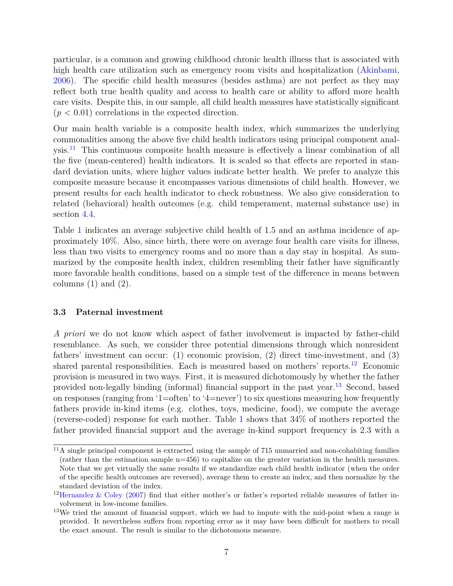particular, is a common and growing childhood chronic health illness that is associated with high health care utilization such as emergency room visits and hospitalization [\(Akinbami,](#page-31-10) [2006\)](#page-31-10). The specific child health measures (besides asthma) are not perfect as they may reflect both true health quality and access to health care or ability to afford more health care visits. Despite this, in our sample, all child health measures have statistically significant  $(p < 0.01)$  correlations in the expected direction.

Our main health variable is a composite health index, which summarizes the underlying commonalities among the above five child health indicators using principal component analysis.[11](#page-8-0) This continuous composite health measure is effectively a linear combination of all the five (mean-centered) health indicators. It is scaled so that effects are reported in standard deviation units, where higher values indicate better health. We prefer to analyze this composite measure because it encompasses various dimensions of child health. However, we present results for each health indicator to check robustness. We also give consideration to related (behavioral) health outcomes (e.g. child temperament, maternal substance use) in section [4.4.](#page-16-0)

Table [1](#page-20-0) indicates an average subjective child health of 1.5 and an asthma incidence of approximately 10%. Also, since birth, there were on average four health care visits for illness, less than two visits to emergency rooms and no more than a day stay in hospital. As summarized by the composite health index, children resembling their father have significantly more favorable health conditions, based on a simple test of the difference in means between columns  $(1)$  and  $(2)$ .

#### **3.3 Paternal investment**

*A priori* we do not know which aspect of father involvement is impacted by father-child resemblance. As such, we consider three potential dimensions through which nonresident fathers' investment can occur: (1) economic provision, (2) direct time-investment, and (3) shared parental responsibilities. Each is measured based on mothers' reports.[12](#page-8-1) Economic provision is measured in two ways. First, it is measured dichotomously by whether the father provided non-legally binding (informal) financial support in the past year.[13](#page-8-2) Second, based on responses (ranging from '1=often' to '4=never') to six questions measuring how frequently fathers provide in-kind items (e.g. clothes, toys, medicine, food), we compute the average (reverse-coded) response for each mother. Table [1](#page-20-0) shows that 34% of mothers reported the father provided financial support and the average in-kind support frequency is 2.3 with a

<span id="page-8-0"></span><sup>&</sup>lt;sup>11</sup>A single principal component is extracted using the sample of 715 unmarried and non-cohabiting families (rather than the estimation sample n=456) to capitalize on the greater variation in the health measures. Note that we get virtually the same results if we standardize each child health indicator (when the order of the specific health outcomes are reversed), average them to create an index, and then normalize by the standard deviation of the index.

<span id="page-8-1"></span><sup>&</sup>lt;sup>12</sup>[Hernandez & Coley](#page-33-13) [\(2007\)](#page-33-13) find that either mother's or father's reported reliable measures of father involvement in low-income families.

<span id="page-8-2"></span><sup>&</sup>lt;sup>13</sup>We tried the amount of financial support, which we had to impute with the mid-point when a range is provided. It nevertheless suffers from reporting error as it may have been difficult for mothers to recall the exact amount. The result is similar to the dichotomous measure.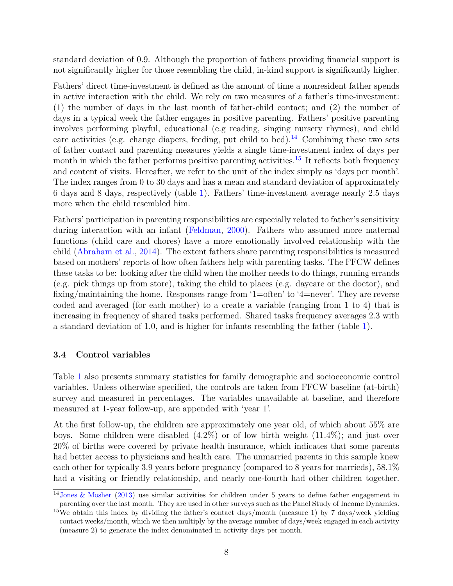standard deviation of 0.9. Although the proportion of fathers providing financial support is not significantly higher for those resembling the child, in-kind support is significantly higher.

Fathers' direct time-investment is defined as the amount of time a nonresident father spends in active interaction with the child. We rely on two measures of a father's time-investment: (1) the number of days in the last month of father-child contact; and (2) the number of days in a typical week the father engages in positive parenting. Fathers' positive parenting involves performing playful, educational (e.g reading, singing nursery rhymes), and child care activities (e.g. change diapers, feeding, put child to bed).<sup>[14](#page-9-0)</sup> Combining these two sets of father contact and parenting measures yields a single time-investment index of days per month in which the father performs positive parenting activities.<sup>[15](#page-9-1)</sup> It reflects both frequency and content of visits. Hereafter, we refer to the unit of the index simply as 'days per month'. The index ranges from 0 to 30 days and has a mean and standard deviation of approximately 6 days and 8 days, respectively (table [1\)](#page-20-0). Fathers' time-investment average nearly 2.5 days more when the child resembled him.

Fathers' participation in parenting responsibilities are especially related to father's sensitivity during interaction with an infant [\(Feldman,](#page-33-14) [2000\)](#page-33-14). Fathers who assumed more maternal functions (child care and chores) have a more emotionally involved relationship with the child [\(Abraham et al.,](#page-31-11) [2014\)](#page-31-11). The extent fathers share parenting responsibilities is measured based on mothers' reports of how often fathers help with parenting tasks. The FFCW defines these tasks to be: looking after the child when the mother needs to do things, running errands (e.g. pick things up from store), taking the child to places (e.g. daycare or the doctor), and fixing/maintaining the home. Responses range from '1=often' to '4=never'. They are reverse coded and averaged (for each mother) to a create a variable (ranging from 1 to 4) that is increasing in frequency of shared tasks performed. Shared tasks frequency averages 2.3 with a standard deviation of 1.0, and is higher for infants resembling the father (table [1\)](#page-20-0).

#### **3.4 Control variables**

Table [1](#page-20-0) also presents summary statistics for family demographic and socioeconomic control variables. Unless otherwise specified, the controls are taken from FFCW baseline (at-birth) survey and measured in percentages. The variables unavailable at baseline, and therefore measured at 1-year follow-up, are appended with 'year 1'.

At the first follow-up, the children are approximately one year old, of which about 55% are boys. Some children were disabled (4.2%) or of low birth weight (11.4%); and just over 20% of births were covered by private health insurance, which indicates that some parents had better access to physicians and health care. The unmarried parents in this sample knew each other for typically 3.9 years before pregnancy (compared to 8 years for marrieds), 58.1% had a visiting or friendly relationship, and nearly one-fourth had other children together.

<span id="page-9-0"></span> $14$ [Jones & Mosher](#page-33-2) [\(2013\)](#page-33-2) use similar activities for children under 5 years to define father engagement in parenting over the last month. They are used in other surveys such as the Panel Study of Income Dynamics.

<span id="page-9-1"></span><sup>15</sup>We obtain this index by dividing the father's contact days/month (measure 1) by 7 days/week yielding contact weeks/month, which we then multiply by the average number of days/week engaged in each activity (measure 2) to generate the index denominated in activity days per month.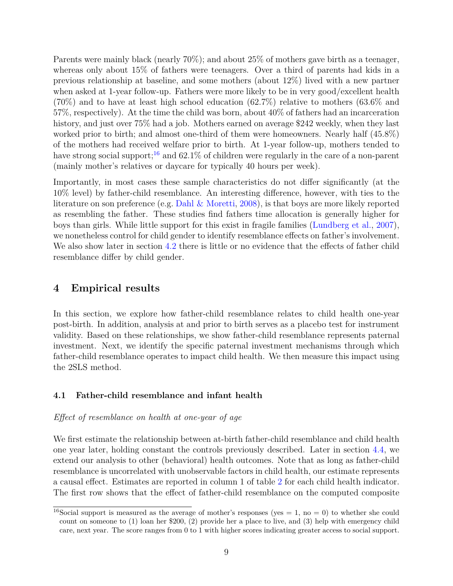Parents were mainly black (nearly 70%); and about 25% of mothers gave birth as a teenager, whereas only about 15% of fathers were teenagers. Over a third of parents had kids in a previous relationship at baseline, and some mothers (about 12%) lived with a new partner when asked at 1-year follow-up. Fathers were more likely to be in very good/excellent health  $(70\%)$  and to have at least high school education  $(62.7\%)$  relative to mothers  $(63.6\%$  and 57%, respectively). At the time the child was born, about 40% of fathers had an incarceration history, and just over  $75\%$  had a job. Mothers earned on average \$242 weekly, when they last worked prior to birth; and almost one-third of them were homeowners. Nearly half (45.8%) of the mothers had received welfare prior to birth. At 1-year follow-up, mothers tended to have strong social support;<sup>[16](#page-10-1)</sup> and 62.1% of children were regularly in the care of a non-parent (mainly mother's relatives or daycare for typically 40 hours per week).

Importantly, in most cases these sample characteristics do not differ significantly (at the 10% level) by father-child resemblance. An interesting difference, however, with ties to the literature on son preference (e.g. [Dahl & Moretti,](#page-32-15) [2008\)](#page-32-15), is that boys are more likely reported as resembling the father. These studies find fathers time allocation is generally higher for boys than girls. While little support for this exist in fragile families [\(Lundberg et al.,](#page-34-13) [2007\)](#page-34-13), we nonetheless control for child gender to identify resemblance effects on father's involvement. We also show later in section [4.2](#page-13-0) there is little or no evidence that the effects of father child resemblance differ by child gender.

### <span id="page-10-0"></span>**4 Empirical results**

In this section, we explore how father-child resemblance relates to child health one-year post-birth. In addition, analysis at and prior to birth serves as a placebo test for instrument validity. Based on these relationships, we show father-child resemblance represents paternal investment. Next, we identify the specific paternal investment mechanisms through which father-child resemblance operates to impact child health. We then measure this impact using the 2SLS method.

#### <span id="page-10-2"></span>**4.1 Father-child resemblance and infant health**

*Effect of resemblance on health at one-year of age*

We first estimate the relationship between at-birth father-child resemblance and child health one year later, holding constant the controls previously described. Later in section [4.4,](#page-16-0) we extend our analysis to other (behavioral) health outcomes. Note that as long as father-child resemblance is uncorrelated with unobservable factors in child health, our estimate represents a causal effect. Estimates are reported in column 1 of table [2](#page-21-0) for each child health indicator. The first row shows that the effect of father-child resemblance on the computed composite

<span id="page-10-1"></span><sup>&</sup>lt;sup>16</sup>Social support is measured as the average of mother's responses (yes = 1, no = 0) to whether she could count on someone to (1) loan her \$200, (2) provide her a place to live, and (3) help with emergency child care, next year. The score ranges from 0 to 1 with higher scores indicating greater access to social support.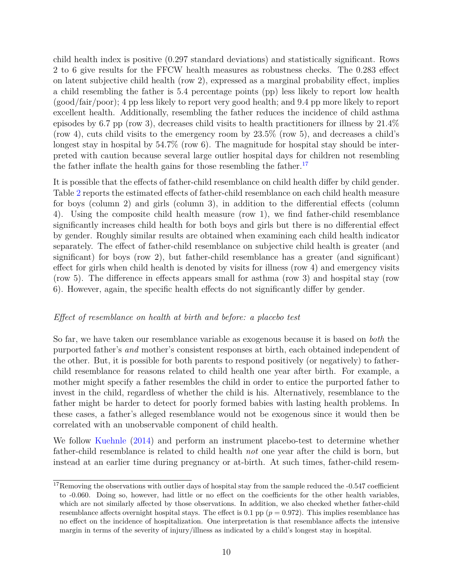child health index is positive (0.297 standard deviations) and statistically significant. Rows 2 to 6 give results for the FFCW health measures as robustness checks. The 0.283 effect on latent subjective child health (row 2), expressed as a marginal probability effect, implies a child resembling the father is 5.4 percentage points (pp) less likely to report low health (good/fair/poor); 4 pp less likely to report very good health; and 9.4 pp more likely to report excellent health. Additionally, resembling the father reduces the incidence of child asthma episodes by 6.7 pp (row 3), decreases child visits to health practitioners for illness by 21.4% (row 4), cuts child visits to the emergency room by 23.5% (row 5), and decreases a child's longest stay in hospital by 54.7% (row 6). The magnitude for hospital stay should be interpreted with caution because several large outlier hospital days for children not resembling the father inflate the health gains for those resembling the father.<sup>[17](#page-11-0)</sup>

It is possible that the effects of father-child resemblance on child health differ by child gender. Table [2](#page-21-0) reports the estimated effects of father-child resemblance on each child health measure for boys (column 2) and girls (column 3), in addition to the differential effects (column 4). Using the composite child health measure (row 1), we find father-child resemblance significantly increases child health for both boys and girls but there is no differential effect by gender. Roughly similar results are obtained when examining each child health indicator separately. The effect of father-child resemblance on subjective child health is greater (and significant) for boys (row 2), but father-child resemblance has a greater (and significant) effect for girls when child health is denoted by visits for illness (row 4) and emergency visits (row 5). The difference in effects appears small for asthma (row 3) and hospital stay (row 6). However, again, the specific health effects do not significantly differ by gender.

#### *Effect of resemblance on health at birth and before: a placebo test*

So far, we have taken our resemblance variable as exogenous because it is based on *both* the purported father's *and* mother's consistent responses at birth, each obtained independent of the other. But, it is possible for both parents to respond positively (or negatively) to fatherchild resemblance for reasons related to child health one year after birth. For example, a mother might specify a father resembles the child in order to entice the purported father to invest in the child, regardless of whether the child is his. Alternatively, resemblance to the father might be harder to detect for poorly formed babies with lasting health problems. In these cases, a father's alleged resemblance would not be exogenous since it would then be correlated with an unobservable component of child health.

We follow [Kuehnle](#page-34-14) [\(2014\)](#page-34-14) and perform an instrument placebo-test to determine whether father-child resemblance is related to child health *not* one year after the child is born, but instead at an earlier time during pregnancy or at-birth. At such times, father-child resem-

<span id="page-11-0"></span><sup>&</sup>lt;sup>17</sup>Removing the observations with outlier days of hospital stay from the sample reduced the  $-0.547$  coefficient to -0.060. Doing so, however, had little or no effect on the coefficients for the other health variables, which are not similarly affected by those observations. In addition, we also checked whether father-child resemblance affects overnight hospital stays. The effect is 0.1 pp  $(p = 0.972)$ . This implies resemblance has no effect on the incidence of hospitalization. One interpretation is that resemblance affects the intensive margin in terms of the severity of injury/illness as indicated by a child's longest stay in hospital.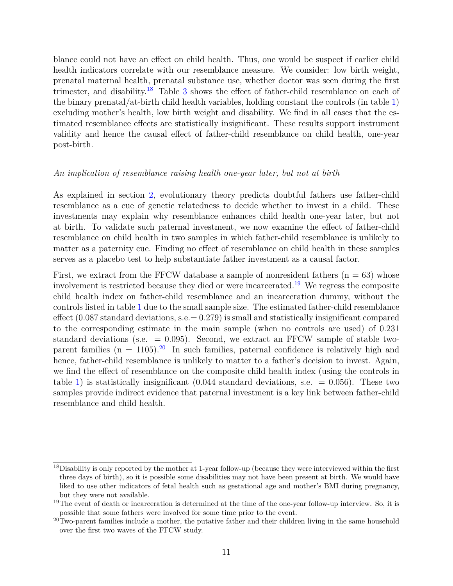blance could not have an effect on child health. Thus, one would be suspect if earlier child health indicators correlate with our resemblance measure. We consider: low birth weight, prenatal maternal health, prenatal substance use, whether doctor was seen during the first trimester, and disability.<sup>[18](#page-12-0)</sup> Table [3](#page-22-0) shows the effect of father-child resemblance on each of the binary prenatal/at-birth child health variables, holding constant the controls (in table [1\)](#page-20-0) excluding mother's health, low birth weight and disability. We find in all cases that the estimated resemblance effects are statistically insignificant. These results support instrument validity and hence the causal effect of father-child resemblance on child health, one-year post-birth.

#### *An implication of resemblance raising health one-year later, but not at birth*

As explained in section [2,](#page-5-2) evolutionary theory predicts doubtful fathers use father-child resemblance as a cue of genetic relatedness to decide whether to invest in a child. These investments may explain why resemblance enhances child health one-year later, but not at birth. To validate such paternal investment, we now examine the effect of father-child resemblance on child health in two samples in which father-child resemblance is unlikely to matter as a paternity cue. Finding no effect of resemblance on child health in these samples serves as a placebo test to help substantiate father investment as a causal factor.

First, we extract from the FFCW database a sample of nonresident fathers  $(n = 63)$  whose involvement is restricted because they died or were incarcerated.<sup>[19](#page-12-1)</sup> We regress the composite child health index on father-child resemblance and an incarceration dummy, without the controls listed in table [1](#page-20-0) due to the small sample size. The estimated father-child resemblance effect  $(0.087$  standard deviations, s.e.  $= 0.279$  is small and statistically insignificant compared to the corresponding estimate in the main sample (when no controls are used) of 0.231 standard deviations (s.e.  $= 0.095$ ). Second, we extract an FFCW sample of stable twoparent families ( $n = 1105$ ).<sup>[20](#page-12-2)</sup> In such families, paternal confidence is relatively high and hence, father-child resemblance is unlikely to matter to a father's decision to invest. Again, we find the effect of resemblance on the composite child health index (using the controls in table [1\)](#page-20-0) is statistically insignificant  $(0.044$  standard deviations, s.e.  $= 0.056$ . These two samples provide indirect evidence that paternal investment is a key link between father-child resemblance and child health.

<span id="page-12-0"></span><sup>&</sup>lt;sup>18</sup>Disability is only reported by the mother at 1-year follow-up (because they were interviewed within the first three days of birth), so it is possible some disabilities may not have been present at birth. We would have liked to use other indicators of fetal health such as gestational age and mother's BMI during pregnancy, but they were not available.

<span id="page-12-1"></span><sup>&</sup>lt;sup>19</sup>The event of death or incarceration is determined at the time of the one-year follow-up interview. So, it is possible that some fathers were involved for some time prior to the event.

<span id="page-12-2"></span> $20$ Two-parent families include a mother, the putative father and their children living in the same household over the first two waves of the FFCW study.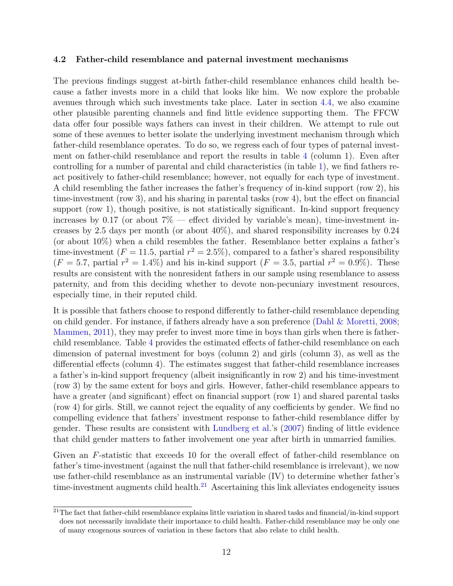#### <span id="page-13-0"></span>**4.2 Father-child resemblance and paternal investment mechanisms**

The previous findings suggest at-birth father-child resemblance enhances child health because a father invests more in a child that looks like him. We now explore the probable avenues through which such investments take place. Later in section [4.4,](#page-16-0) we also examine other plausible parenting channels and find little evidence supporting them. The FFCW data offer four possible ways fathers can invest in their children. We attempt to rule out some of these avenues to better isolate the underlying investment mechanism through which father-child resemblance operates. To do so, we regress each of four types of paternal investment on father-child resemblance and report the results in table [4](#page-23-0) (column 1). Even after controlling for a number of parental and child characteristics (in table [1\)](#page-20-0), we find fathers react positively to father-child resemblance; however, not equally for each type of investment. A child resembling the father increases the father's frequency of in-kind support (row 2), his time-investment (row 3), and his sharing in parental tasks (row 4), but the effect on financial support (row 1), though positive, is not statistically significant. In-kind support frequency increases by 0.17 (or about  $7\%$  — effect divided by variable's mean), time-investment increases by 2.5 days per month (or about 40%), and shared responsibility increases by 0.24 (or about 10%) when a child resembles the father. Resemblance better explains a father's time-investment  $(F = 11.5$ , partial  $r^2 = 2.5\%)$ , compared to a father's shared responsibility  $(F = 5.7,$  partial  $r^2 = 1.4\%$ ) and his in-kind support  $(F = 3.5,$  partial  $r^2 = 0.9\%$ ). These results are consistent with the nonresident fathers in our sample using resemblance to assess paternity, and from this deciding whether to devote non-pecuniary investment resources, especially time, in their reputed child.

It is possible that fathers choose to respond differently to father-child resemblance depending on child gender. For instance, if fathers already have a son preference [\(Dahl & Moretti,](#page-32-15) [2008;](#page-32-15) [Mammen,](#page-34-15) [2011\)](#page-34-15), they may prefer to invest more time in boys than girls when there is fatherchild resemblance. Table [4](#page-23-0) provides the estimated effects of father-child resemblance on each dimension of paternal investment for boys (column 2) and girls (column 3), as well as the differential effects (column 4). The estimates suggest that father-child resemblance increases a father's in-kind support frequency (albeit insignificantly in row 2) and his time-investment (row 3) by the same extent for boys and girls. However, father-child resemblance appears to have a greater (and significant) effect on financial support (row 1) and shared parental tasks (row 4) for girls. Still, we cannot reject the equality of any coefficients by gender. We find no compelling evidence that fathers' investment response to father-child resemblance differ by gender. These results are consistent with [Lundberg et al.'](#page-34-13)s [\(2007\)](#page-34-13) finding of little evidence that child gender matters to father involvement one year after birth in unmarried families.

Given an *F*-statistic that exceeds 10 for the overall effect of father-child resemblance on father's time-investment (against the null that father-child resemblance is irrelevant), we now use father-child resemblance as an instrumental variable (IV) to determine whether father's time-investment augments child health. $21$  Ascertaining this link alleviates endogeneity issues

<span id="page-13-1"></span> $21$ The fact that father-child resemblance explains little variation in shared tasks and financial/in-kind support does not necessarily invalidate their importance to child health. Father-child resemblance may be only one of many exogenous sources of variation in these factors that also relate to child health.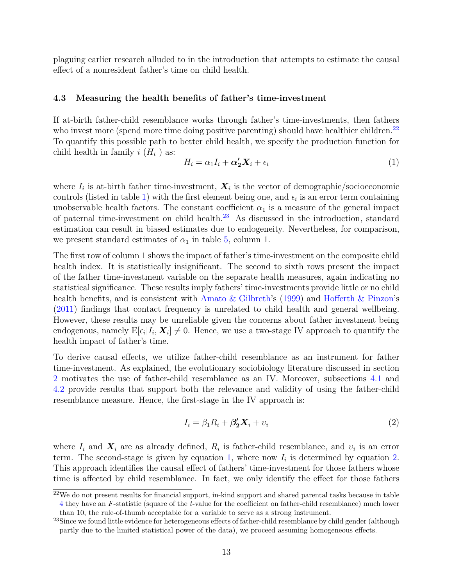plaguing earlier research alluded to in the introduction that attempts to estimate the causal effect of a nonresident father's time on child health.

#### <span id="page-14-4"></span>**4.3 Measuring the health benefits of father's time-investment**

If at-birth father-child resemblance works through father's time-investments, then fathers who invest more (spend more time doing positive parenting) should have healthier children.<sup>[22](#page-14-0)</sup> To quantify this possible path to better child health, we specify the production function for child health in family  $i$  ( $H_i$ ) as:

<span id="page-14-2"></span>
$$
H_i = \alpha_1 I_i + \alpha_2' X_i + \epsilon_i \tag{1}
$$

where  $I_i$  is at-birth father time-investment,  $\boldsymbol{X}_i$  is the vector of demographic/socioeconomic controls (listed in table [1\)](#page-20-0) with the first element being one, and  $\epsilon_i$  is an error term containing unobservable health factors. The constant coefficient  $\alpha_1$  is a measure of the general impact of paternal time-investment on child health.[23](#page-14-1) As discussed in the introduction, standard estimation can result in biased estimates due to endogeneity. Nevertheless, for comparison, we present standard estimates of  $\alpha_1$  in table [5,](#page-24-0) column 1.

The first row of column 1 shows the impact of father's time-investment on the composite child health index. It is statistically insignificant. The second to sixth rows present the impact of the father time-investment variable on the separate health measures, again indicating no statistical significance. These results imply fathers' time-investments provide little or no child health benefits, and is consistent with [Amato & Gilbreth'](#page-31-12)s [\(1999\)](#page-31-12) and [Hofferth & Pinzon'](#page-33-7)s [\(2011\)](#page-33-7) findings that contact frequency is unrelated to child health and general wellbeing. However, these results may be unreliable given the concerns about father investment being endogenous, namely  $\mathrm{E}[\epsilon_i|I_i, \mathbf{X}_i] \neq 0$ . Hence, we use a two-stage IV approach to quantify the health impact of father's time.

To derive causal effects, we utilize father-child resemblance as an instrument for father time-investment. As explained, the evolutionary sociobiology literature discussed in section [2](#page-5-2) motivates the use of father-child resemblance as an IV. Moreover, subsections [4.1](#page-10-2) and [4.2](#page-13-0) provide results that support both the relevance and validity of using the father-child resemblance measure. Hence, the first-stage in the IV approach is:

<span id="page-14-3"></span>
$$
I_i = \beta_1 R_i + \beta_2' X_i + v_i \tag{2}
$$

where  $I_i$  and  $\mathbf{X}_i$  are as already defined,  $R_i$  is father-child resemblance, and  $v_i$  is an error term. The second-stage is given by equation [1,](#page-14-2) where now  $I_i$  is determined by equation [2.](#page-14-3) This approach identifies the causal effect of fathers' time-investment for those fathers whose time is affected by child resemblance. In fact, we only identify the effect for those fathers

<span id="page-14-0"></span><sup>22</sup>We do not present results for financial support, in-kind support and shared parental tasks because in table [4](#page-23-0) they have an *F*-statistic (square of the *t*-value for the coefficient on father-child resemblance) much lower than 10, the rule-of-thumb acceptable for a variable to serve as a strong instrument.

<span id="page-14-1"></span><sup>&</sup>lt;sup>23</sup>Since we found little evidence for heterogeneous effects of father-child resemblance by child gender (although partly due to the limited statistical power of the data), we proceed assuming homogeneous effects.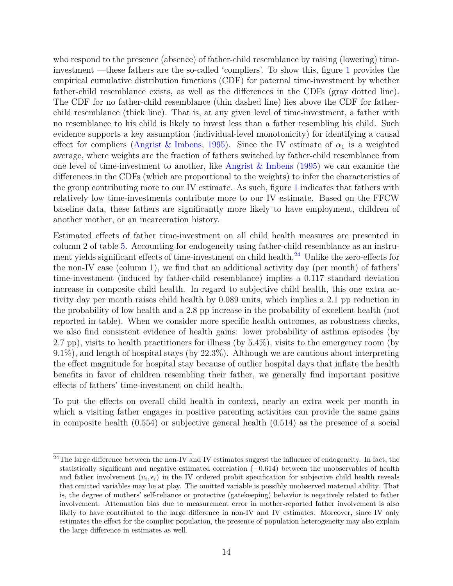who respond to the presence (absence) of father-child resemblance by raising (lowering) timeinvestment —these fathers are the so-called 'compliers'. To show this, figure [1](#page-30-0) provides the empirical cumulative distribution functions (CDF) for paternal time-investment by whether father-child resemblance exists, as well as the differences in the CDFs (gray dotted line). The CDF for no father-child resemblance (thin dashed line) lies above the CDF for fatherchild resemblance (thick line). That is, at any given level of time-investment, a father with no resemblance to his child is likely to invest less than a father resembling his child. Such evidence supports a key assumption (individual-level monotonicity) for identifying a causal effect for compliers [\(Angrist & Imbens,](#page-31-13) [1995\)](#page-31-13). Since the IV estimate of  $\alpha_1$  is a weighted average, where weights are the fraction of fathers switched by father-child resemblance from one level of time-investment to another, like Angrist  $\&$  Imbens [\(1995\)](#page-31-13) we can examine the differences in the CDFs (which are proportional to the weights) to infer the characteristics of the group contributing more to our IV estimate. As such, figure [1](#page-30-0) indicates that fathers with relatively low time-investments contribute more to our IV estimate. Based on the FFCW baseline data, these fathers are significantly more likely to have employment, children of another mother, or an incarceration history.

Estimated effects of father time-investment on all child health measures are presented in column 2 of table [5.](#page-24-0) Accounting for endogeneity using father-child resemblance as an instru-ment yields significant effects of time-investment on child health.<sup>[24](#page-15-0)</sup> Unlike the zero-effects for the non-IV case (column 1), we find that an additional activity day (per month) of fathers' time-investment (induced by father-child resemblance) implies a 0.117 standard deviation increase in composite child health. In regard to subjective child health, this one extra activity day per month raises child health by 0.089 units, which implies a 2.1 pp reduction in the probability of low health and a 2.8 pp increase in the probability of excellent health (not reported in table). When we consider more specific health outcomes, as robustness checks, we also find consistent evidence of health gains: lower probability of asthma episodes (by 2.7 pp), visits to health practitioners for illness (by  $5.4\%$ ), visits to the emergency room (by 9.1%), and length of hospital stays (by 22.3%). Although we are cautious about interpreting the effect magnitude for hospital stay because of outlier hospital days that inflate the health benefits in favor of children resembling their father, we generally find important positive effects of fathers' time-investment on child health.

To put the effects on overall child health in context, nearly an extra week per month in which a visiting father engages in positive parenting activities can provide the same gains in composite health (0.554) or subjective general health (0.514) as the presence of a social

<span id="page-15-0"></span> $^{24}$ The large difference between the non-IV and IV estimates suggest the influence of endogeneity. In fact, the statistically significant and negative estimated correlation (−0*.*614) between the unobservables of health and father involvement  $(v_i, \epsilon_i)$  in the IV ordered probit specification for subjective child health reveals that omitted variables may be at play. The omitted variable is possibly unobserved maternal ability. That is, the degree of mothers' self-reliance or protective (gatekeeping) behavior is negatively related to father involvement. Attenuation bias due to measurement error in mother-reported father involvement is also likely to have contributed to the large difference in non-IV and IV estimates. Moreover, since IV only estimates the effect for the complier population, the presence of population heterogeneity may also explain the large difference in estimates as well.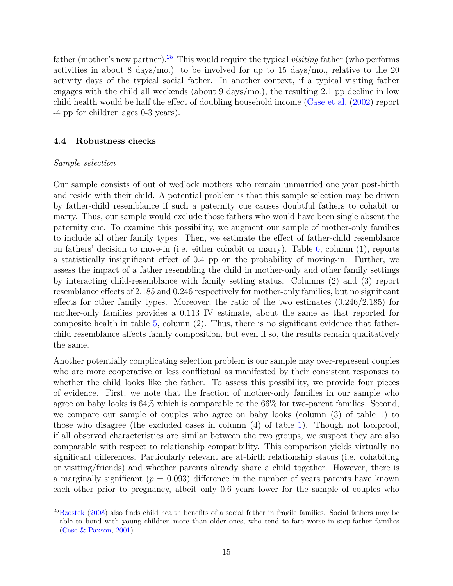father (mother's new partner).[25](#page-16-1) This would require the typical *visiting* father (who performs activities in about 8 days/mo.) to be involved for up to 15 days/mo., relative to the 20 activity days of the typical social father. In another context, if a typical visiting father engages with the child all weekends (about 9 days/mo.), the resulting 2.1 pp decline in low child health would be half the effect of doubling household income [\(Case et al.](#page-32-13) [\(2002\)](#page-32-13) report -4 pp for children ages 0-3 years).

#### <span id="page-16-0"></span>**4.4 Robustness checks**

#### *Sample selection*

Our sample consists of out of wedlock mothers who remain unmarried one year post-birth and reside with their child. A potential problem is that this sample selection may be driven by father-child resemblance if such a paternity cue causes doubtful fathers to cohabit or marry. Thus, our sample would exclude those fathers who would have been single absent the paternity cue. To examine this possibility, we augment our sample of mother-only families to include all other family types. Then, we estimate the effect of father-child resemblance on fathers' decision to move-in (i.e. either cohabit or marry). Table [6,](#page-25-0) column (1), reports a statistically insignificant effect of 0.4 pp on the probability of moving-in. Further, we assess the impact of a father resembling the child in mother-only and other family settings by interacting child-resemblance with family setting status. Columns (2) and (3) report resemblance effects of 2.185 and 0.246 respectively for mother-only families, but no significant effects for other family types. Moreover, the ratio of the two estimates  $(0.246/2.185)$  for mother-only families provides a 0.113 IV estimate, about the same as that reported for composite health in table [5,](#page-24-0) column (2). Thus, there is no significant evidence that fatherchild resemblance affects family composition, but even if so, the results remain qualitatively the same.

Another potentially complicating selection problem is our sample may over-represent couples who are more cooperative or less conflictual as manifested by their consistent responses to whether the child looks like the father. To assess this possibility, we provide four pieces of evidence. First, we note that the fraction of mother-only families in our sample who agree on baby looks is 64% which is comparable to the 66% for two-parent families. Second, we compare our sample of couples who agree on baby looks (column (3) of table [1\)](#page-20-0) to those who disagree (the excluded cases in column (4) of table [1\)](#page-20-0). Though not foolproof, if all observed characteristics are similar between the two groups, we suspect they are also comparable with respect to relationship compatibility. This comparison yields virtually no significant differences. Particularly relevant are at-birth relationship status (i.e. cohabiting or visiting/friends) and whether parents already share a child together. However, there is a marginally significant  $(p = 0.093)$  difference in the number of years parents have known each other prior to pregnancy, albeit only 0.6 years lower for the sample of couples who

<span id="page-16-1"></span> $^{25}$ [Bzostek](#page-32-16) [\(2008\)](#page-32-16) also finds child health benefits of a social father in fragile families. Social fathers may be able to bond with young children more than older ones, who tend to fare worse in step-father families [\(Case & Paxson,](#page-32-8) [2001\)](#page-32-8).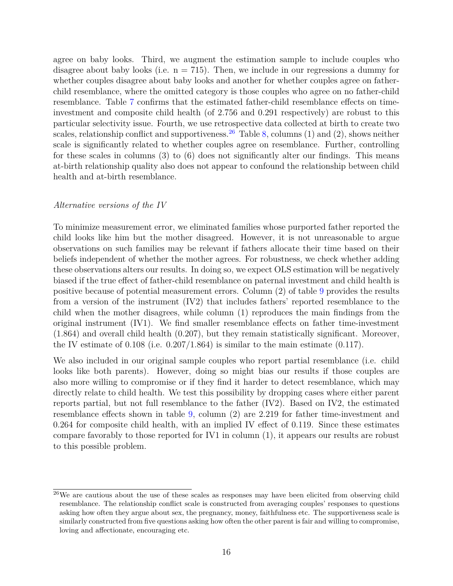agree on baby looks. Third, we augment the estimation sample to include couples who disagree about baby looks (i.e.  $n = 715$ ). Then, we include in our regressions a dummy for whether couples disagree about baby looks and another for whether couples agree on fatherchild resemblance, where the omitted category is those couples who agree on no father-child resemblance. Table [7](#page-26-0) confirms that the estimated father-child resemblance effects on timeinvestment and composite child health (of 2.756 and 0.291 respectively) are robust to this particular selectivity issue. Fourth, we use retrospective data collected at birth to create two scales, relationship conflict and supportiveness.<sup>[26](#page-17-0)</sup> Table [8,](#page-27-0) columns (1) and (2), shows neither scale is significantly related to whether couples agree on resemblance. Further, controlling for these scales in columns  $(3)$  to  $(6)$  does not significantly alter our findings. This means at-birth relationship quality also does not appear to confound the relationship between child health and at-birth resemblance.

#### *Alternative versions of the IV*

To minimize measurement error, we eliminated families whose purported father reported the child looks like him but the mother disagreed. However, it is not unreasonable to argue observations on such families may be relevant if fathers allocate their time based on their beliefs independent of whether the mother agrees. For robustness, we check whether adding these observations alters our results. In doing so, we expect OLS estimation will be negatively biased if the true effect of father-child resemblance on paternal investment and child health is positive because of potential measurement errors. Column (2) of table [9](#page-28-0) provides the results from a version of the instrument (IV2) that includes fathers' reported resemblance to the child when the mother disagrees, while column (1) reproduces the main findings from the original instrument (IV1). We find smaller resemblance effects on father time-investment (1.864) and overall child health (0.207), but they remain statistically significant. Moreover, the IV estimate of  $0.108$  (i.e.  $0.207/1.864$ ) is similar to the main estimate (0.117).

We also included in our original sample couples who report partial resemblance (i.e. child looks like both parents). However, doing so might bias our results if those couples are also more willing to compromise or if they find it harder to detect resemblance, which may directly relate to child health. We test this possibility by dropping cases where either parent reports partial, but not full resemblance to the father (IV2). Based on IV2, the estimated resemblance effects shown in table [9,](#page-28-0) column (2) are 2.219 for father time-investment and 0.264 for composite child health, with an implied IV effect of 0.119. Since these estimates compare favorably to those reported for IV1 in column (1), it appears our results are robust to this possible problem.

<span id="page-17-0"></span><sup>&</sup>lt;sup>26</sup>We are cautious about the use of these scales as responses may have been elicited from observing child resemblance. The relationship conflict scale is constructed from averaging couples' responses to questions asking how often they argue about sex, the pregnancy, money, faithfulness etc. The supportiveness scale is similarly constructed from five questions asking how often the other parent is fair and willing to compromise, loving and affectionate, encouraging etc.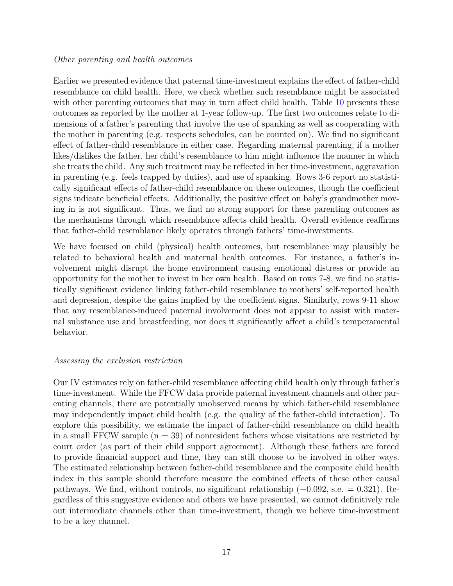#### *Other parenting and health outcomes*

Earlier we presented evidence that paternal time-investment explains the effect of father-child resemblance on child health. Here, we check whether such resemblance might be associated with other parenting outcomes that may in turn affect child health. Table [10](#page-29-0) presents these outcomes as reported by the mother at 1-year follow-up. The first two outcomes relate to dimensions of a father's parenting that involve the use of spanking as well as cooperating with the mother in parenting (e.g. respects schedules, can be counted on). We find no significant effect of father-child resemblance in either case. Regarding maternal parenting, if a mother likes/dislikes the father, her child's resemblance to him might influence the manner in which she treats the child. Any such treatment may be reflected in her time-investment, aggravation in parenting (e.g. feels trapped by duties), and use of spanking. Rows 3-6 report no statistically significant effects of father-child resemblance on these outcomes, though the coefficient signs indicate beneficial effects. Additionally, the positive effect on baby's grandmother moving in is not significant. Thus, we find no strong support for these parenting outcomes as the mechanisms through which resemblance affects child health. Overall evidence reaffirms that father-child resemblance likely operates through fathers' time-investments.

We have focused on child (physical) health outcomes, but resemblance may plausibly be related to behavioral health and maternal health outcomes. For instance, a father's involvement might disrupt the home environment causing emotional distress or provide an opportunity for the mother to invest in her own health. Based on rows 7-8, we find no statistically significant evidence linking father-child resemblance to mothers' self-reported health and depression, despite the gains implied by the coefficient signs. Similarly, rows 9-11 show that any resemblance-induced paternal involvement does not appear to assist with maternal substance use and breastfeeding, nor does it significantly affect a child's temperamental behavior.

### *Assessing the exclusion restriction*

Our IV estimates rely on father-child resemblance affecting child health only through father's time-investment. While the FFCW data provide paternal investment channels and other parenting channels, there are potentially unobserved means by which father-child resemblance may independently impact child health (e.g. the quality of the father-child interaction). To explore this possibility, we estimate the impact of father-child resemblance on child health in a small FFCW sample  $(n = 39)$  of nonresident fathers whose visitations are restricted by court order (as part of their child support agreement). Although these fathers are forced to provide financial support and time, they can still choose to be involved in other ways. The estimated relationship between father-child resemblance and the composite child health index in this sample should therefore measure the combined effects of these other causal pathways. We find, without controls, no significant relationship (−0*.*092, s.e. = 0.321). Regardless of this suggestive evidence and others we have presented, we cannot definitively rule out intermediate channels other than time-investment, though we believe time-investment to be a key channel.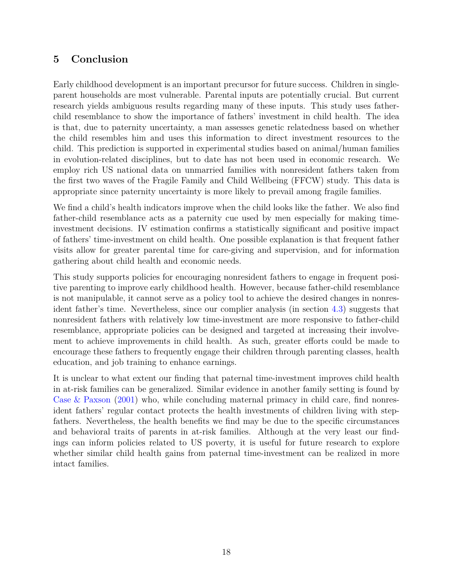## <span id="page-19-0"></span>**5 Conclusion**

Early childhood development is an important precursor for future success. Children in singleparent households are most vulnerable. Parental inputs are potentially crucial. But current research yields ambiguous results regarding many of these inputs. This study uses fatherchild resemblance to show the importance of fathers' investment in child health. The idea is that, due to paternity uncertainty, a man assesses genetic relatedness based on whether the child resembles him and uses this information to direct investment resources to the child. This prediction is supported in experimental studies based on animal/human families in evolution-related disciplines, but to date has not been used in economic research. We employ rich US national data on unmarried families with nonresident fathers taken from the first two waves of the Fragile Family and Child Wellbeing (FFCW) study. This data is appropriate since paternity uncertainty is more likely to prevail among fragile families.

We find a child's health indicators improve when the child looks like the father. We also find father-child resemblance acts as a paternity cue used by men especially for making timeinvestment decisions. IV estimation confirms a statistically significant and positive impact of fathers' time-investment on child health. One possible explanation is that frequent father visits allow for greater parental time for care-giving and supervision, and for information gathering about child health and economic needs.

This study supports policies for encouraging nonresident fathers to engage in frequent positive parenting to improve early childhood health. However, because father-child resemblance is not manipulable, it cannot serve as a policy tool to achieve the desired changes in nonresident father's time. Nevertheless, since our complier analysis (in section [4.3\)](#page-14-4) suggests that nonresident fathers with relatively low time-investment are more responsive to father-child resemblance, appropriate policies can be designed and targeted at increasing their involvement to achieve improvements in child health. As such, greater efforts could be made to encourage these fathers to frequently engage their children through parenting classes, health education, and job training to enhance earnings.

It is unclear to what extent our finding that paternal time-investment improves child health in at-risk families can be generalized. Similar evidence in another family setting is found by Case  $\&$  Paxson [\(2001\)](#page-32-8) who, while concluding maternal primacy in child care, find nonresident fathers' regular contact protects the health investments of children living with stepfathers. Nevertheless, the health benefits we find may be due to the specific circumstances and behavioral traits of parents in at-risk families. Although at the very least our findings can inform policies related to US poverty, it is useful for future research to explore whether similar child health gains from paternal time-investment can be realized in more intact families.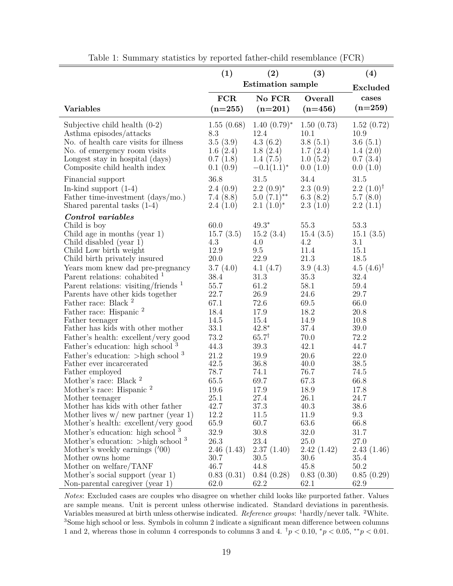<span id="page-20-0"></span>

|                                                                                                                                                                                                                                                                                                                                                                                                                                                                                                                                                                                                                                                                                                                                | (1)                                                                                                                                                                  | $\left( 2\right)$                                                                                                                                                                     | (3)                                                                                                                                                                  | (4)                                                                                                                                                                                     |
|--------------------------------------------------------------------------------------------------------------------------------------------------------------------------------------------------------------------------------------------------------------------------------------------------------------------------------------------------------------------------------------------------------------------------------------------------------------------------------------------------------------------------------------------------------------------------------------------------------------------------------------------------------------------------------------------------------------------------------|----------------------------------------------------------------------------------------------------------------------------------------------------------------------|---------------------------------------------------------------------------------------------------------------------------------------------------------------------------------------|----------------------------------------------------------------------------------------------------------------------------------------------------------------------|-----------------------------------------------------------------------------------------------------------------------------------------------------------------------------------------|
|                                                                                                                                                                                                                                                                                                                                                                                                                                                                                                                                                                                                                                                                                                                                |                                                                                                                                                                      | <b>Estimation</b> sample                                                                                                                                                              |                                                                                                                                                                      |                                                                                                                                                                                         |
|                                                                                                                                                                                                                                                                                                                                                                                                                                                                                                                                                                                                                                                                                                                                | <b>FCR</b>                                                                                                                                                           | No FCR                                                                                                                                                                                | Overall                                                                                                                                                              | <b>Excluded</b><br>cases                                                                                                                                                                |
| <b>Variables</b>                                                                                                                                                                                                                                                                                                                                                                                                                                                                                                                                                                                                                                                                                                               | $(n=255)$                                                                                                                                                            | $(n=201)$                                                                                                                                                                             | $(n=456)$                                                                                                                                                            | $(n=259)$                                                                                                                                                                               |
| Subjective child health $(0-2)$<br>Asthma episodes/attacks<br>No. of health care visits for illness<br>No. of emergency room visits<br>Longest stay in hospital (days)<br>Composite child health index                                                                                                                                                                                                                                                                                                                                                                                                                                                                                                                         | 1.55(0.68)<br>8.3<br>3.5(3.9)<br>1.6(2.4)<br>0.7(1.8)<br>0.1(0.9)                                                                                                    | $1.40~(0.79)^*$<br>12.4<br>4.3(6.2)<br>1.8(2.4)<br>1.4(7.5)<br>$-0.1(1.1)^{*}$                                                                                                        | 1.50(0.73)<br>10.1<br>3.8(5.1)<br>1.7(2.4)<br>1.0(5.2)<br>0.0(1.0)                                                                                                   | 1.52(0.72)<br>10.9<br>3.6(5.1)<br>1.4(2.0)<br>0.7(3.4)<br>0.0(1.0)                                                                                                                      |
| Financial support<br>In-kind support $(1-4)$<br>Father time-investment (days/mo.)<br>Shared parental tasks (1-4)                                                                                                                                                                                                                                                                                                                                                                                                                                                                                                                                                                                                               | 36.8<br>2.4(0.9)<br>7.4(8.8)<br>2.4(1.0)                                                                                                                             | 31.5<br>$2.2(0.9)^*$<br>$5.0(7.1)$ **<br>$2.1(1.0)^*$                                                                                                                                 | 34.4<br>2.3(0.9)<br>6.3(8.2)<br>2.3(1.0)                                                                                                                             | 31.5<br>$2.2~(1.0)^{\dagger}$<br>5.7(8.0)<br>2.2(1.1)                                                                                                                                   |
| Control variables<br>Child is boy<br>Child age in months (year 1)<br>Child disabled (year 1)<br>Child Low birth weight<br>Child birth privately insured<br>Years mom knew dad pre-pregnancy<br>Parent relations: cohabited <sup>1</sup><br>Parent relations: visiting/friends $1$<br>Parents have other kids together<br>Father race: Black <sup>2</sup><br>Father race: Hispanic <sup>2</sup><br>Father teenager<br>Father has kids with other mother<br>Father's health: excellent/very good<br>Father's education: high school <sup>3</sup><br>Father's education: $>$ high school <sup>3</sup><br>Father ever incarcerated<br>Father employed<br>Mother's race: Black <sup>2</sup><br>Mother's race: Hispanic <sup>2</sup> | 60.0<br>15.7(3.5)<br>4.3<br>12.9<br>20.0<br>3.7(4.0)<br>38.4<br>55.7<br>22.7<br>67.1<br>18.4<br>14.5<br>33.1<br>73.2<br>44.3<br>21.2<br>42.5<br>78.7<br>65.5<br>19.6 | $49.3*$<br>15.2(3.4)<br>4.0<br>9.5<br>22.9<br>4.1(4.7)<br>31.3<br>61.2<br>26.9<br>72.6<br>17.9<br>15.4<br>$42.8*$<br>$65.7^{\dagger}$<br>39.3<br>19.9<br>36.8<br>74.1<br>69.7<br>17.9 | 55.3<br>15.4(3.5)<br>4.2<br>11.4<br>21.3<br>3.9(4.3)<br>35.3<br>58.1<br>24.6<br>69.5<br>18.2<br>14.9<br>37.4<br>70.0<br>42.1<br>20.6<br>40.0<br>76.7<br>67.3<br>18.9 | 53.3<br>15.1(3.5)<br>$3.1\,$<br>15.1<br>18.5<br>$4.5(4.6)$ <sup>†</sup><br>32.4<br>59.4<br>29.7<br>66.0<br>20.8<br>10.8<br>39.0<br>72.2<br>44.7<br>22.0<br>38.5<br>74.5<br>66.8<br>17.8 |
| Mother teenager<br>Mother has kids with other father<br>Mother lives $w/$ new partner (year 1)<br>Mother's health: excellent/very good<br>Mother's education: high school <sup>3</sup><br>Mother's education: $>$ high school <sup>3</sup><br>Mother's weekly earnings ('00)<br>Mother owns home<br>Mother on welfare/TANF<br>Mother's social support (year 1)<br>Non-parental caregiver (year 1)                                                                                                                                                                                                                                                                                                                              | 25.1<br>42.7<br>12.2<br>65.9<br>32.9<br>26.3<br>2.46(1.43)<br>30.7<br>46.7<br>0.83(0.31)<br>62.0                                                                     | 27.4<br>37.3<br>11.5<br>60.7<br>30.8<br>23.4<br>2.37(1.40)<br>30.5<br>44.8<br>0.84(0.28)<br>62.2                                                                                      | 26.1<br>40.3<br>11.9<br>63.6<br>32.0<br>25.0<br>2.42(1.42)<br>30.6<br>45.8<br>0.83(0.30)<br>62.1                                                                     | 24.7<br>38.6<br>9.3<br>66.8<br>31.7<br>27.0<br>2.43(1.46)<br>35.4<br>50.2<br>0.85(0.29)<br>62.9                                                                                         |

|  |  |  | Table 1: Summary statistics by reported father-child resemblance (FCR) |  |
|--|--|--|------------------------------------------------------------------------|--|
|  |  |  |                                                                        |  |

*Notes*: Excluded cases are couples who disagree on whether child looks like purported father. Values are sample means. Unit is percent unless otherwise indicated. Standard deviations in parenthesis. Variables measured at birth unless otherwise indicated. *Reference groups*: <sup>1</sup>hardly/never talk. <sup>2</sup>White. <sup>3</sup>Some high school or less. Symbols in column 2 indicate a significant mean difference between columns 1 and 2, whereas those in column 4 corresponds to columns 3 and 4.  $\dagger p < 0.10$ ,  $\dagger p < 0.05$ ,  $\dagger \dagger p < 0.01$ .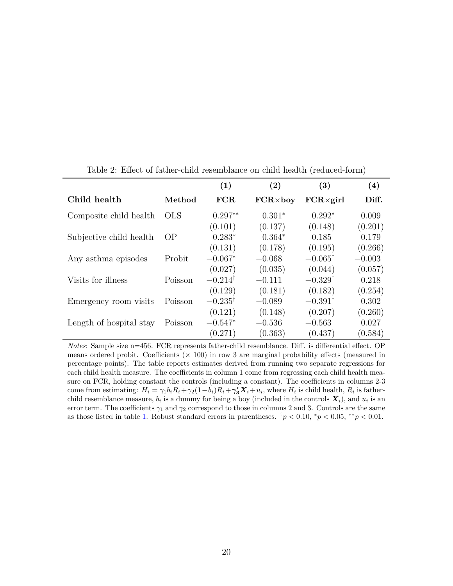<span id="page-21-0"></span>

|                         |            | (1)                | (2)              | (3)                | (4)      |
|-------------------------|------------|--------------------|------------------|--------------------|----------|
| Child health            | Method     | FCR                | $FCR \times boy$ | $FCR \times girl$  | Diff.    |
| Composite child health  | <b>OLS</b> | $0.297**$          | $0.301*$         | $0.292*$           | 0.009    |
|                         |            | (0.101)            | (0.137)          | (0.148)            | (0.201)  |
| Subjective child health | <b>OP</b>  | $0.283*$           | $0.364*$         | 0.185              | 0.179    |
|                         |            | (0.131)            | (0.178)          | (0.195)            | (0.266)  |
| Any asthma episodes     | Probit     | $-0.067*$          | $-0.068$         | $-0.065^{\dagger}$ | $-0.003$ |
|                         |            | (0.027)            | (0.035)          | (0.044)            | (0.057)  |
| Visits for illness      | Poisson    | $-0.214^{\dagger}$ | $-0.111$         | $-0.329^{\dagger}$ | 0.218    |
|                         |            | (0.129)            | (0.181)          | (0.182)            | (0.254)  |
| Emergency room visits   | Poisson    | $-0.235^{\dagger}$ | $-0.089$         | $-0.391^{\dagger}$ | 0.302    |
|                         |            | (0.121)            | (0.148)          | (0.207)            | (0.260)  |
| Length of hospital stay | Poisson    | $-0.547*$          | $-0.536$         | $-0.563$           | 0.027    |
|                         |            | (0.271)            | (0.363)          | (0.437)            | (0.584)  |

Table 2: Effect of father-child resemblance on child health (reduced-form)

*Notes*: Sample size n=456. FCR represents father-child resemblance. Diff. is differential effect. OP means ordered probit. Coefficients  $(\times 100)$  in row 3 are marginal probability effects (measured in percentage points). The table reports estimates derived from running two separate regressions for each child health measure. The coefficients in column 1 come from regressing each child health measure on FCR, holding constant the controls (including a constant). The coefficients in columns 2-3 come from estimating:  $H_i = \gamma_1 b_i R_i + \gamma_2 (1 - b_i) R_i + \gamma_3' X_i + u_i$ , where  $H_i$  is child health,  $R_i$  is fatherchild resemblance measure,  $b_i$  is a dummy for being a boy (included in the controls  $\mathbf{X}_i$ ), and  $u_i$  is an error term. The coefficients  $\gamma_1$  and  $\gamma_2$  correspond to those in columns 2 and 3. Controls are the same as those listed in table [1.](#page-20-0) Robust standard errors in parentheses.  $\frac{1}{7}p < 0.10$ ,  $\frac{k}{p} < 0.05$ ,  $\frac{k}{p} < 0.01$ .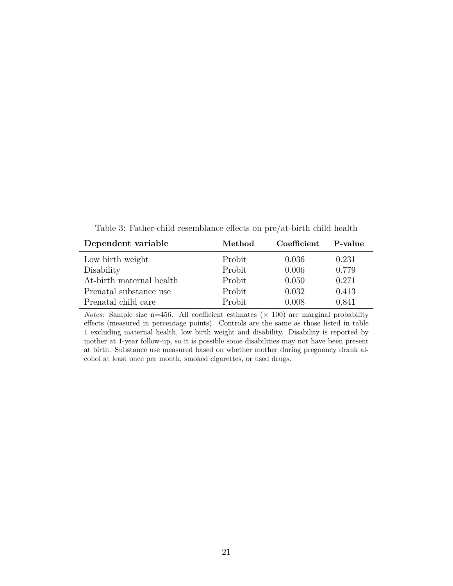Table 3: Father-child resemblance effects on pre/at-birth child health

<span id="page-22-0"></span>

| Method | <b>Coefficient</b> | P-value |
|--------|--------------------|---------|
| Probit | 0.036              | 0.231   |
| Probit | 0.006              | 0.779   |
| Probit | 0.050              | 0.271   |
| Probit | 0.032              | 0.413   |
| Probit | 0.008              | 0.841   |
|        |                    |         |

*Notes*: Sample size  $n=456$ . All coefficient estimates  $(\times 100)$  are marginal probability effects (measured in percentage points). Controls are the same as those listed in table [1](#page-20-0) excluding maternal health, low birth weight and disability. Disability is reported by mother at 1-year follow-up, so it is possible some disabilities may not have been present at birth. Substance use measured based on whether mother during pregnancy drank alcohol at least once per month, smoked cigarettes, or used drugs.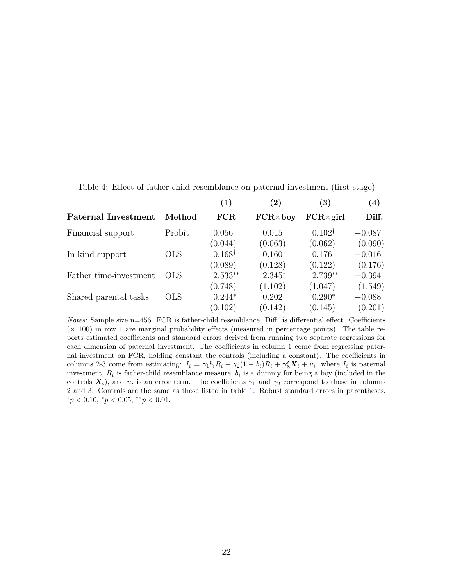<span id="page-23-0"></span>

|                        |            | (1)               | $\bf (2)$        | $\bf (3)$         | $\left( 4\right)$ |
|------------------------|------------|-------------------|------------------|-------------------|-------------------|
| Paternal Investment    | Method     | FCR               | $FCR \times boy$ | $FCR \times girl$ | Diff.             |
| Financial support      | Probit     | 0.056             | 0.015            | $0.102^{\dagger}$ | $-0.087$          |
|                        |            | (0.044)           | (0.063)          | (0.062)           | (0.090)           |
| In-kind support        | <b>OLS</b> | $0.168^{\dagger}$ | 0.160            | 0.176             | $-0.016$          |
|                        |            | (0.089)           | (0.128)          | (0.122)           | (0.176)           |
| Father time-investment | OLS        | $2.533**$         | $2.345*$         | $2.739**$         | $-0.394$          |
|                        |            | (0.748)           | (1.102)          | (1.047)           | (1.549)           |
| Shared parental tasks  | <b>OLS</b> | $0.244*$          | 0.202            | $0.290*$          | $-0.088$          |
|                        |            | (0.102)           | (0.142)          | (0.145)           | (0.201)           |

Table 4: Effect of father-child resemblance on paternal investment (first-stage)

*Notes*: Sample size n=456. FCR is father-child resemblance. Diff. is differential effect. Coefficients  $(\times 100)$  in row 1 are marginal probability effects (measured in percentage points). The table reports estimated coefficients and standard errors derived from running two separate regressions for each dimension of paternal investment. The coefficients in column 1 come from regressing paternal investment on FCR, holding constant the controls (including a constant). The coefficients in columns 2-3 come from estimating:  $I_i = \gamma_1 b_i R_i + \gamma_2 (1 - b_i) R_i + \gamma_3' X_i + u_i$ , where  $I_i$  is paternal investment,  $R_i$  is father-child resemblance measure,  $b_i$  is a dummy for being a boy (included in the controls  $X_i$ ), and  $u_i$  is an error term. The coefficients  $\gamma_1$  and  $\gamma_2$  correspond to those in columns 2 and 3. Controls are the same as those listed in table [1.](#page-20-0) Robust standard errors in parentheses.  $\frac{1}{p}$  < 0.10,  $\frac{1}{p}$  < 0.05,  $\frac{1}{p}$  < 0.01.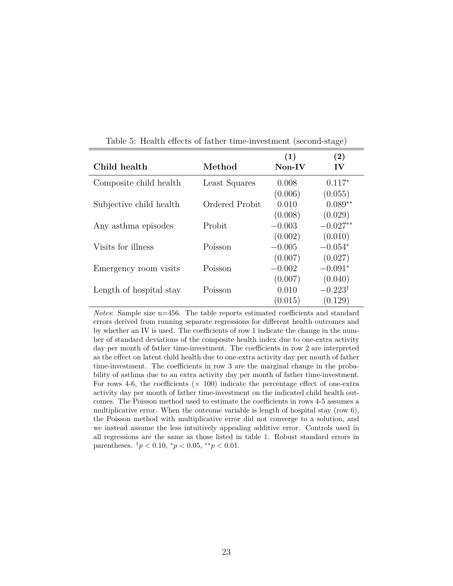<span id="page-24-0"></span>

|                         |                | (1)      | (2)                |
|-------------------------|----------------|----------|--------------------|
| Child health            | Method         | Non-IV   | IV                 |
| Composite child health  | Least Squares  | 0.008    | $0.117*$           |
|                         |                | (0.006)  | (0.055)            |
| Subjective child health | Ordered Probit | 0.010    | $0.089**$          |
|                         |                | (0.008)  | (0.029)            |
| Any asthma episodes     | Probit         | $-0.003$ | $-0.027**$         |
|                         |                | (0.002)  | (0.010)            |
| Visits for illness      | Poisson        | $-0.005$ | $-0.054*$          |
|                         |                | (0.007)  | (0.027)            |
| Emergency room visits   | Poisson        | $-0.002$ | $-0.091*$          |
|                         |                | (0.007)  | (0.040)            |
| Length of hospital stay | Poisson        | 0.010    | $-0.223^{\dagger}$ |
|                         |                | (0.015)  | (0.129)            |

Table 5: Health effects of father time-investment (second-stage)

*Notes*: Sample size n=456. The table reports estimated coefficients and standard errors derived from running separate regressions for different health outcomes and by whether an IV is used. The coefficients of row 1 indicate the change in the number of standard deviations of the composite health index due to one-extra activity day per month of father time-investment. The coefficients in row 2 are interpreted as the effect on latent child health due to one-extra activity day per month of father time-investment. The coefficients in row 3 are the marginal change in the probability of asthma due to an extra activity day per month of father time-investment. For rows 4-6, the coefficients  $(x 100)$  indicate the percentage effect of one-extra activity day per month of father time-investment on the indicated child health outcomes. The Poisson method used to estimate the coefficients in rows 4-5 assumes a multiplicative error. When the outcome variable is length of hospital stay (row 6), the Poisson method with multiplicative error did not converge to a solution, and we instead assume the less intuitively appealing additive error. Controls used in all regressions are the same as those listed in table [1.](#page-20-0) Robust standard errors in parentheses.  $\frac{1}{p}$  < 0.10,  $\frac{1}{p}$  < 0.05,  $\frac{1}{p}$  < 0.01.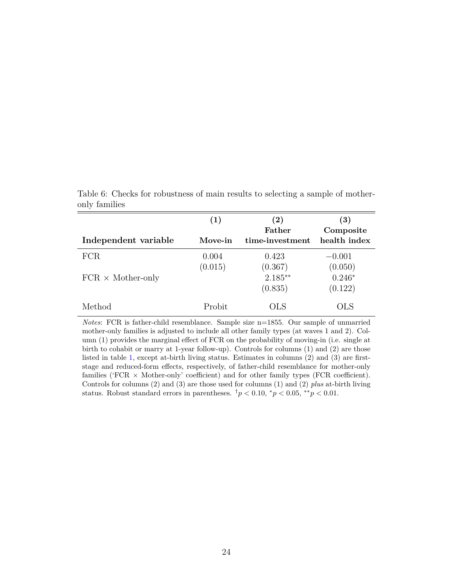|                          | (1)              | (2)<br>Father        | (3)<br>Composite    |
|--------------------------|------------------|----------------------|---------------------|
| Independent variable     | Move-in          | time-investment      | health index        |
| FCR.                     | 0.004<br>(0.015) | 0.423<br>(0.367)     | $-0.001$<br>(0.050) |
| $FCR \times Mother-only$ |                  | $2.185**$<br>(0.835) | $0.246*$<br>(0.122) |
| Method                   | Probit           | ЭLS                  | ЭLS                 |

<span id="page-25-0"></span>Table 6: Checks for robustness of main results to selecting a sample of motheronly families

*Notes*: FCR is father-child resemblance. Sample size n=1855. Our sample of unmarried mother-only families is adjusted to include all other family types (at waves 1 and 2). Column (1) provides the marginal effect of FCR on the probability of moving-in (i.e. single at birth to cohabit or marry at 1-year follow-up). Controls for columns (1) and (2) are those listed in table [1,](#page-20-0) except at-birth living status. Estimates in columns (2) and (3) are firststage and reduced-form effects, respectively, of father-child resemblance for mother-only families ('FCR  $\times$  Mother-only' coefficient) and for other family types (FCR coefficient). Controls for columns (2) and (3) are those used for columns (1) and (2) *plus* at-birth living status. Robust standard errors in parentheses.  $\frac{f}{p} < 0.10$ ,  $\frac{k}{p} < 0.05$ ,  $\frac{k}{p} < 0.01$ .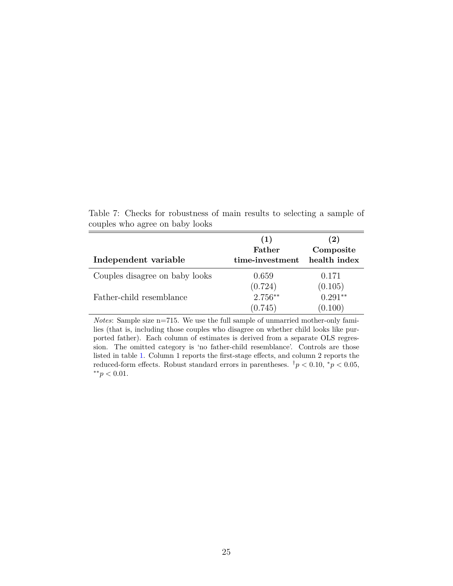<span id="page-26-0"></span>Table 7: Checks for robustness of main results to selecting a sample of couples who agree on baby looks

|                                | (1)             | (2)          |
|--------------------------------|-----------------|--------------|
|                                | Father          | Composite    |
| Independent variable           | time-investment | health index |
| Couples disagree on baby looks | 0.659           | 0.171        |
|                                | (0.724)         | (0.105)      |
| Father-child resemblance       | $2.756***$      | $0.291**$    |
|                                | (0.745)         | (0.100)      |

*Notes*: Sample size n=715. We use the full sample of unmarried mother-only families (that is, including those couples who disagree on whether child looks like purported father). Each column of estimates is derived from a separate OLS regression. The omitted category is 'no father-child resemblance'. Controls are those listed in table [1.](#page-20-0) Column 1 reports the first-stage effects, and column 2 reports the reduced-form effects. Robust standard errors in parentheses.  $\frac{f}{f}$   $p$  < 0.10,  $\frac{f}{f}$   $p$  < 0.05,  $*$ <sup>\*</sup>*p* < 0.01.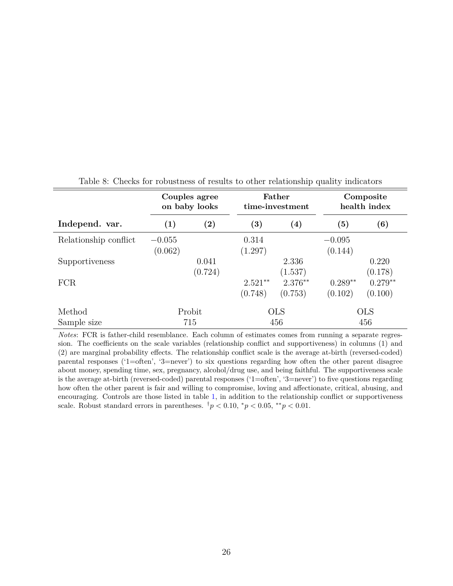<span id="page-27-0"></span>

|                       |                     | Couples agree<br>on baby looks |                      | Father<br>time-investment |                      | Composite<br>health index |
|-----------------------|---------------------|--------------------------------|----------------------|---------------------------|----------------------|---------------------------|
| Independ. var.        | (1)                 | $\bf(2)$                       | $\left( 3\right)$    | $\left( 4\right)$         | (5)                  | (6)                       |
| Relationship conflict | $-0.055$<br>(0.062) |                                | 0.314<br>(1.297)     |                           | $-0.095$<br>(0.144)  |                           |
| Supportiveness        |                     | 0.041<br>(0.724)               |                      | 2.336<br>(1.537)          |                      | 0.220<br>(0.178)          |
| <b>FCR</b>            |                     |                                | $2.521**$<br>(0.748) | $2.376**$<br>(0.753)      | $0.289**$<br>(0.102) | $0.279**$<br>(0.100)      |
| Method<br>Sample size |                     | Probit<br>715                  |                      | <b>OLS</b><br>456         |                      | <b>OLS</b><br>456         |

Table 8: Checks for robustness of results to other relationship quality indicators

*Notes*: FCR is father-child resemblance. Each column of estimates comes from running a separate regression. The coefficients on the scale variables (relationship conflict and supportiveness) in columns (1) and (2) are marginal probability effects. The relationship conflict scale is the average at-birth (reversed-coded) parental responses ('1=often', '3=never') to six questions regarding how often the other parent disagree about money, spending time, sex, pregnancy, alcohol/drug use, and being faithful. The supportiveness scale is the average at-birth (reversed-coded) parental responses ('1=often', '3=never') to five questions regarding how often the other parent is fair and willing to compromise, loving and affectionate, critical, abusing, and encouraging. Controls are those listed in table [1,](#page-20-0) in addition to the relationship conflict or supportiveness scale. Robust standard errors in parentheses.  $\phi$  + 0.10,  $\phi$  + 0.05, \*\* *p* < 0.01.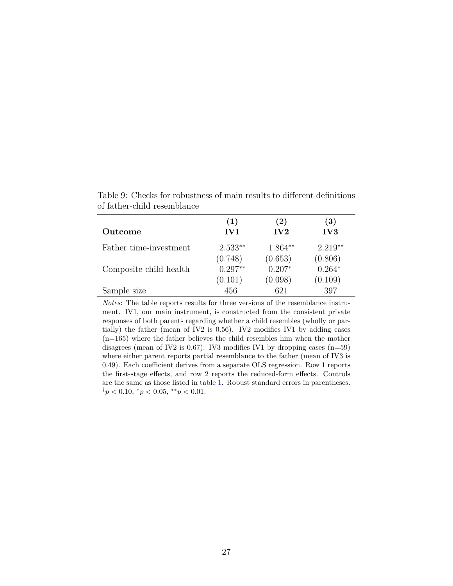| Outcome                | (1)       | $\bf(2)$        | (3)             |
|------------------------|-----------|-----------------|-----------------|
|                        | IV1       | IV <sub>2</sub> | IV <sub>3</sub> |
| Father time-investment | $2.533**$ | $1.864**$       | $2.219**$       |
|                        | (0.748)   | (0.653)         | (0.806)         |
| Composite child health | $0.297**$ | $0.207*$        | $0.264*$        |
|                        | (0.101)   | (0.098)         | (0.109)         |
| Sample size            | 456       | 621             | 397             |

<span id="page-28-0"></span>Table 9: Checks for robustness of main results to different definitions of father-child resemblance

*Notes*: The table reports results for three versions of the resemblance instrument. IV1, our main instrument, is constructed from the consistent private responses of both parents regarding whether a child resembles (wholly or partially) the father (mean of IV2 is 0.56). IV2 modifies IV1 by adding cases  $(n=165)$  where the father believes the child resembles him when the mother disagrees (mean of IV2 is 0.67). IV3 modifies IV1 by dropping cases  $(n=59)$ where either parent reports partial resemblance to the father (mean of IV3 is 0.49). Each coefficient derives from a separate OLS regression. Row 1 reports the first-stage effects, and row 2 reports the reduced-form effects. Controls are the same as those listed in table [1.](#page-20-0) Robust standard errors in parentheses.  $\phi \sim 0.10, \phi \sim 0.05, \phi \sim 0.01.$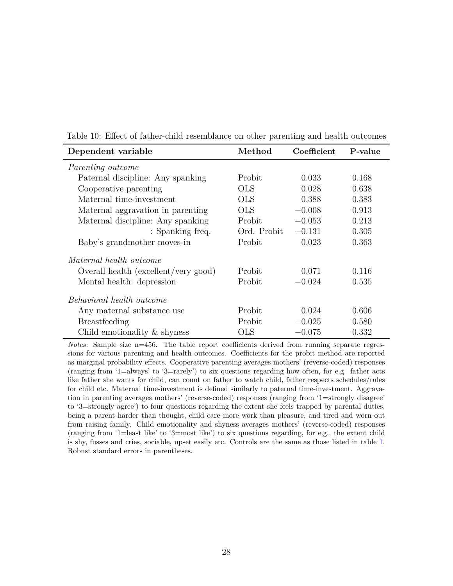| Dependent variable                   | Method      | Coefficient | P-value |
|--------------------------------------|-------------|-------------|---------|
| Parenting outcome                    |             |             |         |
| Paternal discipline: Any spanking    | Probit      | 0.033       | 0.168   |
| Cooperative parenting                | <b>OLS</b>  | 0.028       | 0.638   |
| Maternal time-investment             | <b>OLS</b>  | 0.388       | 0.383   |
| Maternal aggravation in parenting    | <b>OLS</b>  | $-0.008$    | 0.913   |
| Maternal discipline: Any spanking    | Probit      | $-0.053$    | 0.213   |
| : Spanking freq.                     | Ord. Probit | $-0.131$    | 0.305   |
| Baby's grand mother moves-in         | Probit      | 0.023       | 0.363   |
| Maternal health outcome              |             |             |         |
| Overall health (excellent/very good) | Probit      | 0.071       | 0.116   |
| Mental health: depression            | Probit      | $-0.024$    | 0.535   |
| Behavioral health outcome            |             |             |         |
| Any maternal substance use           | Probit      | 0.024       | 0.606   |
| <b>Breastfeeding</b>                 | Probit      | $-0.025$    | 0.580   |
| Child emotionality $\&$ shyness      | <b>OLS</b>  | $-0.075$    | 0.332   |

<span id="page-29-0"></span>Table 10: Effect of father-child resemblance on other parenting and health outcomes

*Notes*: Sample size n=456. The table report coefficients derived from running separate regressions for various parenting and health outcomes. Coefficients for the probit method are reported as marginal probability effects. Cooperative parenting averages mothers' (reverse-coded) responses (ranging from '1=always' to '3=rarely') to six questions regarding how often, for e.g. father acts like father she wants for child, can count on father to watch child, father respects schedules/rules for child etc. Maternal time-investment is defined similarly to paternal time-investment. Aggravation in parenting averages mothers' (reverse-coded) responses (ranging from '1=strongly disagree' to '3=strongly agree') to four questions regarding the extent she feels trapped by parental duties, being a parent harder than thought, child care more work than pleasure, and tired and worn out from raising family. Child emotionality and shyness averages mothers' (reverse-coded) responses (ranging from '1=least like' to '3=most like') to six questions regarding, for e.g., the extent child is shy, fusses and cries, sociable, upset easily etc. Controls are the same as those listed in table [1.](#page-20-0) Robust standard errors in parentheses.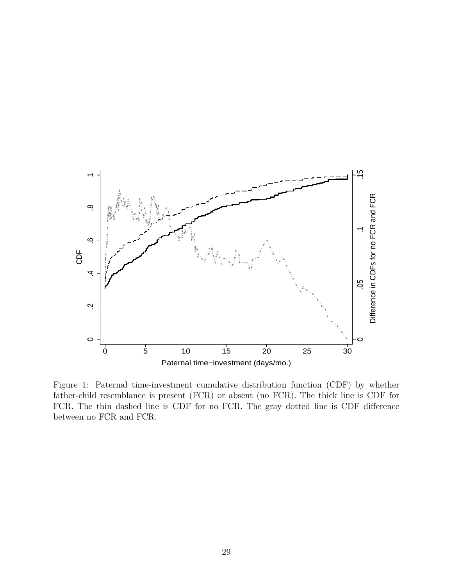<span id="page-30-0"></span>

Figure 1: Paternal time-investment cumulative distribution function (CDF) by whether father-child resemblance is present (FCR) or absent (no FCR). The thick line is CDF for FCR. The thin dashed line is CDF for no FCR. The gray dotted line is CDF difference between no FCR and FCR.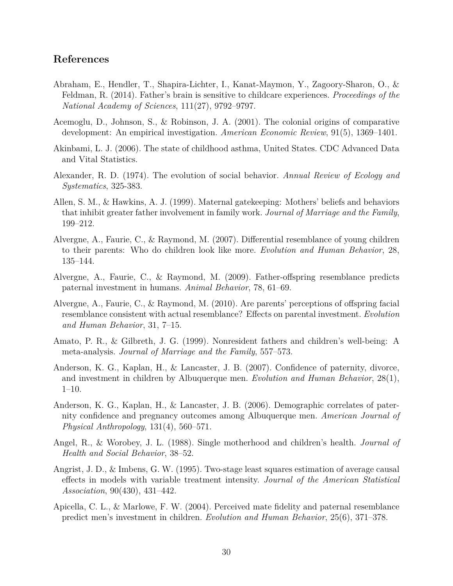### **References**

- <span id="page-31-11"></span>Abraham, E., Hendler, T., Shapira-Lichter, I., Kanat-Maymon, Y., Zagoory-Sharon, O., & Feldman, R. (2014). Father's brain is sensitive to childcare experiences. *Proceedings of the National Academy of Sciences*, 111(27), 9792–9797.
- <span id="page-31-9"></span>Acemoglu, D., Johnson, S., & Robinson, J. A. (2001). The colonial origins of comparative development: An empirical investigation. *American Economic Review*, 91(5), 1369–1401.
- <span id="page-31-10"></span>Akinbami, L. J. (2006). The state of childhood asthma, United States. CDC Advanced Data and Vital Statistics.
- <span id="page-31-3"></span>Alexander, R. D. (1974). The evolution of social behavior. *Annual Review of Ecology and Systematics*, 325-383.
- <span id="page-31-1"></span>Allen, S. M., & Hawkins, A. J. (1999). Maternal gatekeeping: Mothers' beliefs and behaviors that inhibit greater father involvement in family work. *Journal of Marriage and the Family*, 199–212.
- <span id="page-31-5"></span>Alvergne, A., Faurie, C., & Raymond, M. (2007). Differential resemblance of young children to their parents: Who do children look like more. *Evolution and Human Behavior*, 28, 135–144.
- <span id="page-31-7"></span>Alvergne, A., Faurie, C., & Raymond, M. (2009). Father-offspring resemblance predicts paternal investment in humans. *Animal Behavior*, 78, 61–69.
- <span id="page-31-2"></span>Alvergne, A., Faurie, C., & Raymond, M. (2010). Are parents' perceptions of offspring facial resemblance consistent with actual resemblance? Effects on parental investment. *Evolution and Human Behavior*, 31, 7–15.
- <span id="page-31-12"></span>Amato, P. R., & Gilbreth, J. G. (1999). Nonresident fathers and children's well-being: A meta-analysis. *Journal of Marriage and the Family*, 557–573.
- <span id="page-31-4"></span>Anderson, K. G., Kaplan, H., & Lancaster, J. B. (2007). Confidence of paternity, divorce, and investment in children by Albuquerque men. *Evolution and Human Behavior*, 28(1), 1–10.
- <span id="page-31-8"></span>Anderson, K. G., Kaplan, H., & Lancaster, J. B. (2006). Demographic correlates of paternity confidence and pregnancy outcomes among Albuquerque men. *American Journal of Physical Anthropology*, 131(4), 560–571.
- <span id="page-31-0"></span>Angel, R., & Worobey, J. L. (1988). Single motherhood and children's health. *Journal of Health and Social Behavior*, 38–52.
- <span id="page-31-13"></span>Angrist, J. D., & Imbens, G. W. (1995). Two-stage least squares estimation of average causal effects in models with variable treatment intensity. *Journal of the American Statistical Association*, 90(430), 431–442.
- <span id="page-31-6"></span>Apicella, C. L., & Marlowe, F. W. (2004). Perceived mate fidelity and paternal resemblance predict men's investment in children. *Evolution and Human Behavior*, 25(6), 371–378.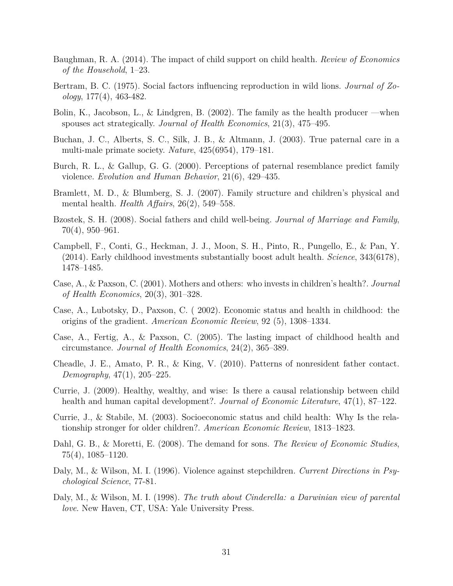- <span id="page-32-5"></span>Baughman, R. A. (2014). The impact of child support on child health. *Review of Economics of the Household*, 1–23.
- <span id="page-32-6"></span>Bertram, B. C. (1975). Social factors influencing reproduction in wild lions. *Journal of Zoology*, 177(4), 463-482.
- <span id="page-32-3"></span>Bolin, K., Jacobson, L., & Lindgren, B. (2002). The family as the health producer —when spouses act strategically. *Journal of Health Economics*, 21(3), 475–495.
- <span id="page-32-9"></span>Buchan, J. C., Alberts, S. C., Silk, J. B., & Altmann, J. (2003). True paternal care in a multi-male primate society. *Nature*, 425(6954), 179–181.
- <span id="page-32-11"></span>Burch, R. L., & Gallup, G. G. (2000). Perceptions of paternal resemblance predict family violence. *Evolution and Human Behavior*, 21(6), 429–435.
- <span id="page-32-4"></span>Bramlett, M. D., & Blumberg, S. J. (2007). Family structure and children's physical and mental health. *Health Affairs*, 26(2), 549–558.
- <span id="page-32-16"></span>Bzostek, S. H. (2008). Social fathers and child well-being. *Journal of Marriage and Family*, 70(4), 950–961.
- <span id="page-32-2"></span>Campbell, F., Conti, G., Heckman, J. J., Moon, S. H., Pinto, R., Pungello, E., & Pan, Y. (2014). Early childhood investments substantially boost adult health. *Science*, 343(6178), 1478–1485.
- <span id="page-32-8"></span>Case, A., & Paxson, C. (2001). Mothers and others: who invests in children's health?. *Journal of Health Economics*, 20(3), 301–328.
- <span id="page-32-13"></span>Case, A., Lubotsky, D., Paxson, C. ( 2002). Economic status and health in childhood: the origins of the gradient. *American Economic Review*, 92 (5), 1308–1334.
- <span id="page-32-0"></span>Case, A., Fertig, A., & Paxson, C. (2005). The lasting impact of childhood health and circumstance. *Journal of Health Economics*, 24(2), 365–389.
- <span id="page-32-12"></span>Cheadle, J. E., Amato, P. R., & King, V. (2010). Patterns of nonresident father contact. *Demography*, 47(1), 205–225.
- <span id="page-32-1"></span>Currie, J. (2009). Healthy, wealthy, and wise: Is there a causal relationship between child health and human capital development?. *Journal of Economic Literature*, 47(1), 87–122.
- <span id="page-32-14"></span>Currie, J., & Stabile, M. (2003). Socioeconomic status and child health: Why Is the relationship stronger for older children?. *American Economic Review*, 1813–1823.
- <span id="page-32-15"></span>Dahl, G. B., & Moretti, E. (2008). The demand for sons. *The Review of Economic Studies*, 75(4), 1085–1120.
- <span id="page-32-7"></span>Daly, M., & Wilson, M. I. (1996). Violence against stepchildren. *Current Directions in Psychological Science*, 77-81.
- <span id="page-32-10"></span>Daly, M., & Wilson, M. I. (1998). *The truth about Cinderella: a Darwinian view of parental love*. New Haven, CT, USA: Yale University Press.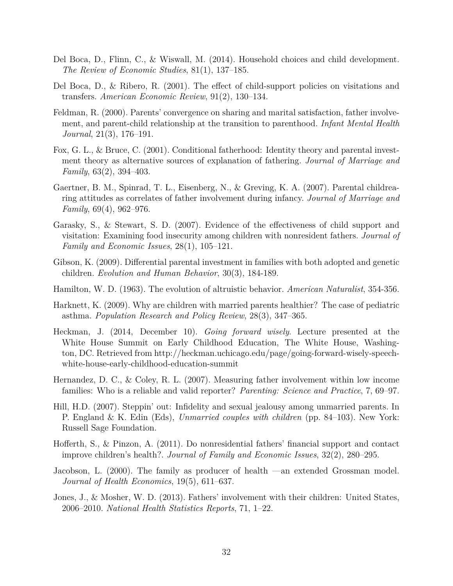- <span id="page-33-1"></span>Del Boca, D., Flinn, C., & Wiswall, M. (2014). Household choices and child development. *The Review of Economic Studies*, 81(1), 137–185.
- <span id="page-33-4"></span>Del Boca, D., & Ribero, R. (2001). The effect of child-support policies on visitations and transfers. *American Economic Review*, 91(2), 130–134.
- <span id="page-33-14"></span>Feldman, R. (2000). Parents' convergence on sharing and marital satisfaction, father involvement, and parent-child relationship at the transition to parenthood. *Infant Mental Health Journal*, 21(3), 176–191.
- <span id="page-33-11"></span>Fox, G. L., & Bruce, C. (2001). Conditional fatherhood: Identity theory and parental investment theory as alternative sources of explanation of fathering. *Journal of Marriage and Family*, 63(2), 394–403.
- <span id="page-33-8"></span>Gaertner, B. M., Spinrad, T. L., Eisenberg, N., & Greving, K. A. (2007). Parental childrearing attitudes as correlates of father involvement during infancy. *Journal of Marriage and Family*, 69(4), 962–976.
- <span id="page-33-6"></span>Garasky, S., & Stewart, S. D. (2007). Evidence of the effectiveness of child support and visitation: Examining food insecurity among children with nonresident fathers. *Journal of Family and Economic Issues*, 28(1), 105–121.
- <span id="page-33-10"></span>Gibson, K. (2009). Differential parental investment in families with both adopted and genetic children. *Evolution and Human Behavior*, 30(3), 184-189.
- <span id="page-33-9"></span>Hamilton, W. D. (1963). The evolution of altruistic behavior. *American Naturalist*, 354-356.
- <span id="page-33-5"></span>Harknett, K. (2009). Why are children with married parents healthier? The case of pediatric asthma. *Population Research and Policy Review*, 28(3), 347–365.
- <span id="page-33-0"></span>Heckman, J. (2014, December 10). *Going forward wisely*. Lecture presented at the White House Summit on Early Childhood Education, The White House, Washington, DC. Retrieved from http://heckman.uchicago.edu/page/going-forward-wisely-speechwhite-house-early-childhood-education-summit
- <span id="page-33-13"></span>Hernandez, D. C., & Coley, R. L. (2007). Measuring father involvement within low income families: Who is a reliable and valid reporter? *Parenting: Science and Practice*, 7, 69–97.
- <span id="page-33-12"></span>Hill, H.D. (2007). Steppin' out: Infidelity and sexual jealousy among unmarried parents. In P. England & K. Edin (Eds), *Unmarried couples with children* (pp. 84–103). New York: Russell Sage Foundation.
- <span id="page-33-7"></span>Hofferth, S., & Pinzon, A. (2011). Do nonresidential fathers' financial support and contact improve children's health?. *Journal of Family and Economic Issues*, 32(2), 280–295.
- <span id="page-33-3"></span>Jacobson, L. (2000). The family as producer of health —an extended Grossman model. *Journal of Health Economics*, 19(5), 611–637.
- <span id="page-33-2"></span>Jones, J., & Mosher, W. D. (2013). Fathers' involvement with their children: United States, 2006–2010. *National Health Statistics Reports*, 71, 1–22.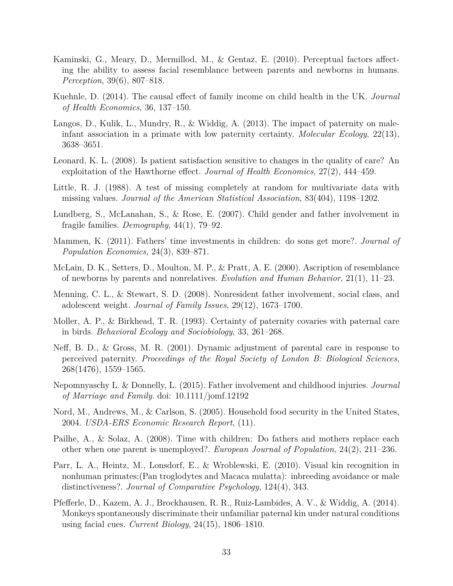- <span id="page-34-8"></span>Kaminski, G., Meary, D., Mermillod, M., & Gentaz, E. (2010). Perceptual factors affecting the ability to assess facial resemblance between parents and newborns in humans. *Perception*, 39(6), 807–818.
- <span id="page-34-14"></span>Kuehnle, D. (2014). The causal effect of family income on child health in the UK. *Journal of Health Economics*, 36, 137–150.
- <span id="page-34-6"></span>Langos, D., Kulik, L., Mundry, R., & Widdig, A. (2013). The impact of paternity on maleinfant association in a primate with low paternity certainty. *Molecular Ecology*, 22(13), 3638–3651.
- <span id="page-34-12"></span>Leonard, K. L. (2008). Is patient satisfaction sensitive to changes in the quality of care? An exploitation of the Hawthorne effect. *Journal of Health Economics*, 27(2), 444–459.
- <span id="page-34-11"></span>Little, R. J. (1988). A test of missing completely at random for multivariate data with missing values. *Journal of the American Statistical Association*, 83(404), 1198–1202.
- <span id="page-34-13"></span>Lundberg, S., McLanahan, S., & Rose, E. (2007). Child gender and father involvement in fragile families. *Demography*, 44(1), 79–92.
- <span id="page-34-15"></span>Mammen, K. (2011). Fathers' time investments in children: do sons get more?. *Journal of Population Economics*, 24(3), 839–871.
- <span id="page-34-7"></span>McLain, D. K., Setters, D., Moulton, M. P., & Pratt, A. E. (2000). Ascription of resemblance of newborns by parents and nonrelatives. *Evolution and Human Behavior*, 21(1), 11–23.
- <span id="page-34-2"></span>Menning, C. L., & Stewart, S. D. (2008). Nonresident father involvement, social class, and adolescent weight. *Journal of Family Issues*, 29(12), 1673–1700.
- <span id="page-34-4"></span>Moller, A. P., & Birkhead, T. R. (1993). Certainty of paternity covaries with paternal care in birds. *Behavioral Ecology and Sociobiology*, 33, 261–268.
- <span id="page-34-5"></span>Neff, B. D., & Gross, M. R. (2001). Dynamic adjustment of parental care in response to perceived paternity. *Proceedings of the Royal Society of London B: Biological Sciences*, 268(1476), 1559–1565.
- <span id="page-34-1"></span>Nepomnyaschy L. & Donnelly, L. (2015). Father involvement and childhood injuries. *Journal of Marriage and Family*. doi: 10.1111/jomf.12192
- <span id="page-34-0"></span>Nord, M., Andrews, M., & Carlson, S. (2005). Household food security in the United States, 2004. *USDA-ERS Economic Research Report*, (11).
- <span id="page-34-3"></span>Pailhe, A., & Solaz, A. (2008). Time with children: Do fathers and mothers replace each other when one parent is unemployed?. *European Journal of Population*, 24(2), 211–236.
- <span id="page-34-9"></span>Parr, L. A., Heintz, M., Lonsdorf, E., & Wroblewski, E. (2010). Visual kin recognition in nonhuman primates:(Pan troglodytes and Macaca mulatta): inbreeding avoidance or male distinctiveness?. *Journal of Comparative Psychology*, 124(4), 343.
- <span id="page-34-10"></span>Pfefferle, D., Kazem, A. J., Brockhausen, R. R., Ruiz-Lambides, A. V., & Widdig, A. (2014). Monkeys spontaneously discriminate their unfamiliar paternal kin under natural conditions using facial cues. *Current Biology*, 24(15), 1806–1810.